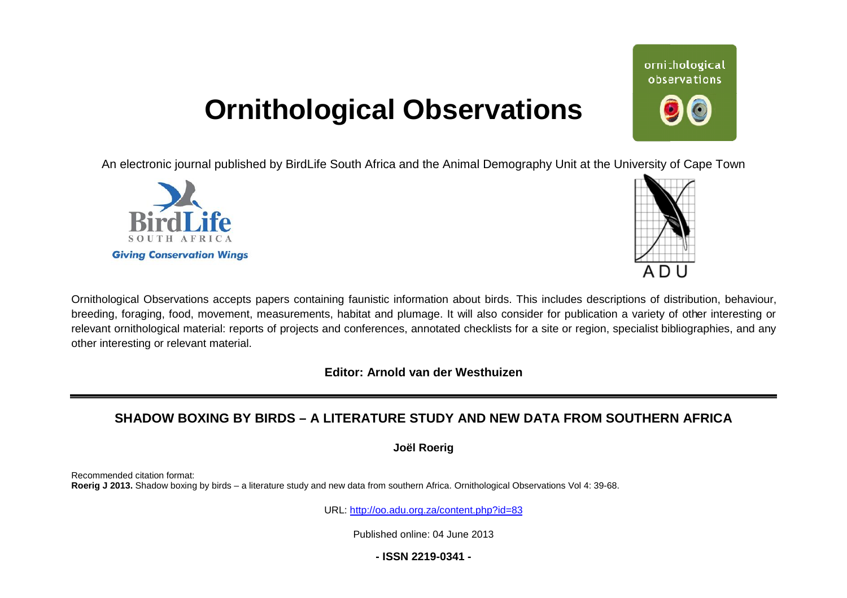# **Ornithological Observations**

An electronic journal published by BirdLife South Africa and the Animal Demography Unit at the University of Cape Town





Ornithological Observations accepts papers containing faunistic information about birds. This includes descriptions of distribution, behaviour, breeding, foraging, food, movement, measurements, habitat and plumage. It will also consider for publication a variety of other interesting or relevant ornithological material: reports of projects and conferences, annotated checklists for a site or region, specialist bibliographies, and any other interesting or relevant material.

**Editor: Arnold van der Westhuizen**

# **SHADOW BOXING BY BIRDS – A LITERATURE STUDY AND AND NEW DATA FROM SOUTHERN AFRICA**

**Joël Roerig** 

Recommended citation format: Roerig J 2013. Shadow boxing by birds - a literature study and new data from southern Africa. Ornithological Observations Vol 4: 39-68.

URL: <http://oo.adu.org.za/content.php?id=83>

Published online: 04 June 2013

**- ISSN 2219-0341 -** 

# ornithological observations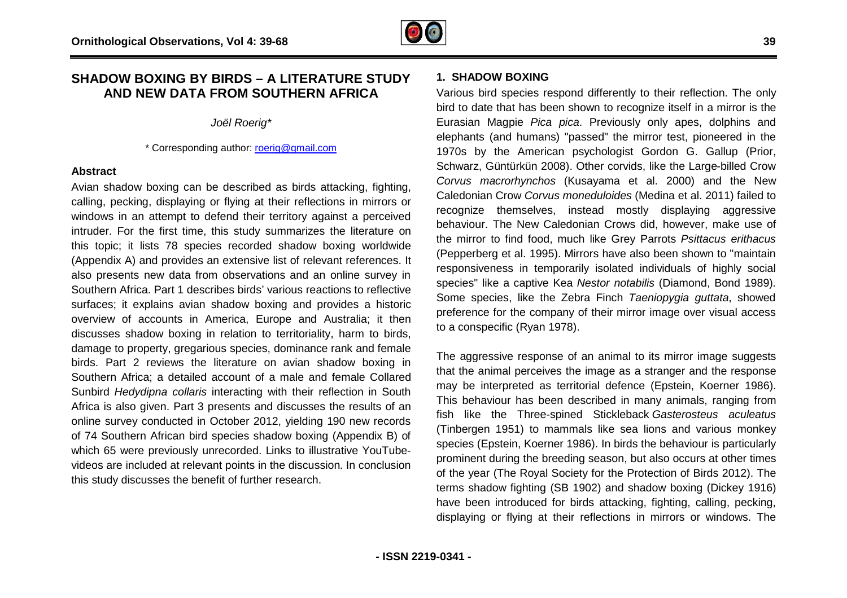### **SHADOW BOXING BY BIRDS – A LITERATURE STUDY AND NEW DATA FROM SOUTHERN AFRICA**

*Joël Roerig\**

\* Corresponding author: [roerig@gmail.com](mailto:roerig@gmail.com)

### **Abstract**

Avian shadow boxing can be described as birds attacking, fighting, calling, pecking, displaying or flying at their reflections in mirrors or windows in an attempt to defend their territory against a perceived intruder. For the first time, this study summarizes the literature on this topic; it lists 78 species recorded shadow boxing worldwide (Appendix A) and provides an extensive list of relevant references. It also presents new data from observations and an online survey in Southern Africa. Part 1 describes birds' various reactions to reflective surfaces; it explains avian shadow boxing and provides a historic overview of accounts in America, Europe and Australia; it then discusses shadow boxing in relation to territoriality, harm to birds, damage to property, gregarious species, dominance rank and female birds. Part 2 reviews the literature on avian shadow boxing in Southern Africa; a detailed account of a male and female Collared damage to property, gregarious species, dominance rank and female<br>birds. Part 2 reviews the literature on avian shadow boxing in<br>Southern Africa; a detailed account of a male and female Collared<br>Sunbird *Hedydipna collaris* Africa is also given. Part 3 presents and discusses the results of an online survey conducted in October 2012, yielding 190 new records of 74 Southern African bird species shadow boxing (Appendix B) o of which 65 were previously unrecorded. Links to illustrative YouTubevideos are included at relevant points in the discussion. In conclusion this study discusses the benefit of further research. nst a perceived<br>the literature on<br>pxing worldwide<br>nt references. It<br>pnline survey in

**IRE STUDY**<br> **1. SHADOW BOXING**<br>
FRICA Various bird species re<br>
bird to date that has be<br>
Eurasian Magpie *Pica*<br>
elephants (and human:<br>
1970s by the Americ<br>
Schwarz, Güntürkün 2C<br>
cking, fighting,<br> *Corvus macrorhyncho.* Various bird species respond differently to their reflection. The only bird to date that has been shown to recognize itself in a mirror is the Eurasian Magpie *Pica pica*. Previously only apes, dolphins and elephants (and humans) "passed" the mirror test, pioneered i 1970s by the American psychologist Gordon G. Gallup (Prior, Schwarz, Güntürkün 2008). Other corvids, like the Large Large-billed Crow *Corvus macrorhynchos* (Kusayama et al. 2000) and the New Caledonian Crow *Corvus moneduloides* (Medina et al. 2011) failed to recognize themselves, instead mostly displaying aggressive behaviour. The New Caledonian Crows did, however, make use of the mirror to find food, much like Grey Parrots *Psittacus erithacus*  (Pepperberg et al. 1995). Mirrors have also been shown to "maintain responsiveness in temporarily isolated individuals of highly social responsiveness in temporarily isolated individuals of highly social<br>species" like a captive Kea *Nestor notabilis* (Diamond, Bond 1989). Some species, like the Zebra Finch *Taeniopygia guttata* , showed preference for the company of their mirror image over visual access to a conspecific (Ryan 1978). ird species respond differently to their reflection. The only<br>te that has been shown to recognize itself in a mirror is the<br>Magpie *Pica pica*. Previously only apes, dolphins and<br>(and humans) "passed" the mirror test, pion

The aggressive response of an animal to its mirror image suggests that the animal perceives the image as a stranger and the response may be interpreted as territorial defence (Epstein, Koerner 1986). This behaviour has been described in many animals, ranging from fish like the Three-spined Stickleback *Gasterosteus aculeatus* (Tinbergen 1951) to mammals like sea lions and various monkey species (Epstein, Koerner 1986). In birds the behaviour is particularly prominent during the breeding season, but also occurs at other times of the year (The Royal Society for the Protection of Birds 2012). The terms shadow fighting (SB 1902) and shadow boxing (Dickey 1916) prominent during the breeding season, but also occurs at other times<br>of the year (The Royal Society for the Protection of Birds 2012). The<br>terms shadow fighting (SB 1902) and shadow boxing (Dickey 1916)<br>have been introduce displaying or flying at their reflections in mirrors or windows. The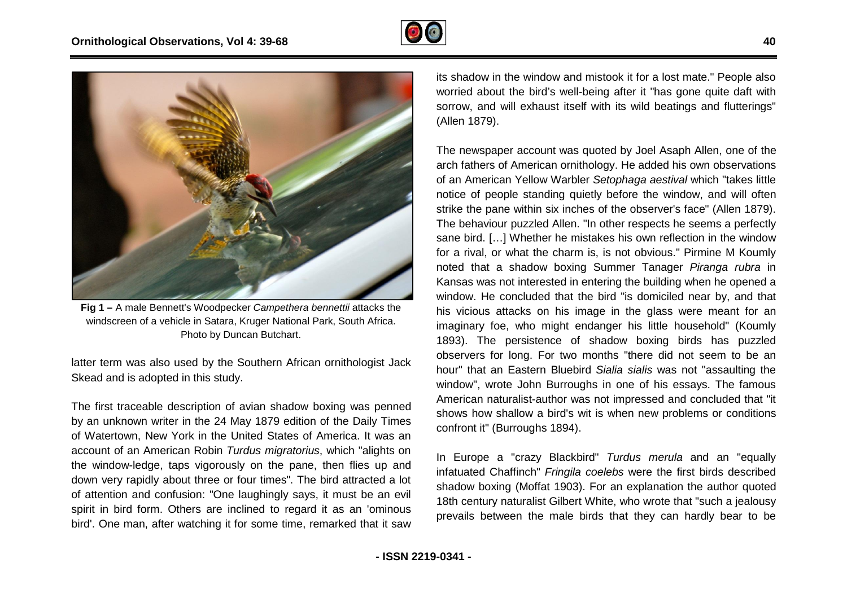



**Fig 1 –** A male Bennett's Woodpecker *Campethera bennettii* attacks the windscreen of a vehicle in Satara, Kruger National Park, South Africa. , Photo by Duncan Butchart.

latter term was also used by the Southern African ornithologist Jack Skead and is adopted in this study.

The first traceable description of avian shadow boxing was penned by an unknown writer in the 24 May 1879 edition of the Daily Times of Watertown, New York in the United States of America. It was an account of an American Robin *Turdus migratorius*, which " "alights on the window-ledge, taps vigorously on the pane, then flies up and the window-ledge, taps vigorously on the pane, then flies up and<br>down very rapidly about three or four times". The bird attracted a lot of attention and confusion: "One laughingly says, it must be an evil spirit in bird form. Others are inclined to regard it as an 'ominous bird'. One man, after watching it for some time, remarked that it saw

worried about the bird's well-being after it "has gone quite daft with sorrow, and will exhaust itself with its wild beatings and flutterings" (Allen 1879). its shadow in the window and mistook it for a lost mate." People also

The mewspaper account was distinguished in the window and mistook it for a lost measurement in the mistook in the mistook is of a American ontihology. He added his of a American ontihology the added his of a mistook of a p The newspaper account was quoted by Joel Asaph Allen, one of the arch fathers of American ornithology. He added his own observations of an American Yellow Warbler *Setophaga aestival*  notice of people standing quietly before the window, and will often strike the pane within six inches of the observer's face" (Allen 1879). The behaviour puzzled Allen. "In other respects he seems a perfectly sane bird. […] Whether he mistakes his own reflection in the window The behaviour puzzled Allen. "In other respects he seems a perfectly<br>sane bird. […] Whether he mistakes his own reflection in the window<br>for a rival, or what the charm is, is not obvious." Pirmine M Koumly noted that a shadow boxing Summer Tanager *Piranga rubra* in Kansas was not interested in entering the building when he opened a window. He concluded that the bird "is domiciled near by, and that his vicious attacks on his image in the glass were meant for an imaginary foe, who might endanger his little household" (Koumly 1893). The persistence of shadow boxing birds has puzzled observers for long. For two months "there did not seem to be an observers for long. For two months "there did not seem to be an<br>hour" that an Eastern Bluebird *Sialia sialis* was not "assaulting the window", wrote John Burroughs in one of his essays. The famous American naturalist-author was not impressed and concluded that "it shows how shallow a bird's wit is when new problems or conditions confront it" (Burroughs 1894). fter it "has gone quite daft with<br>s wild beatings and flutterings"<br>by Joel Asaph Allen, one of the<br>He added his own observations<br>phaga aestival which "takes little

In Europe a "crazy Blackbird" *Turdus merula*  and an "equally infatuated Chaffinch" *Fringila coelebs* were the first birds described shadow boxing (Moffat 1903). For an explanation the author quoted 18th century naturalist Gilbert White, who wrote that "such a jealousy prevails between the male birds that they can hard hardly bear to be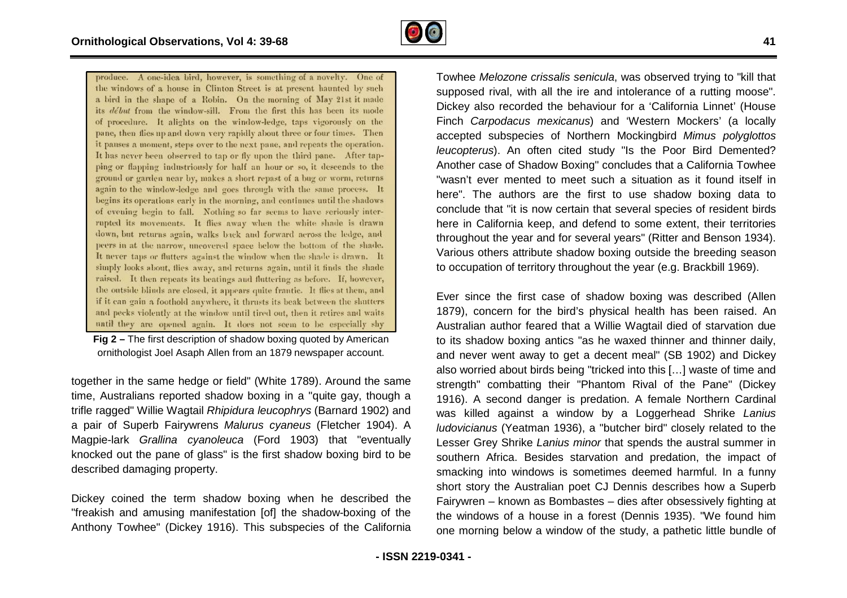

**Fig 2 –** The first description of shadow boxing quoted by American ornithologist Joel Asaph Allen from an 1879 newspaper account.

together in the same hedge or field" (White 1789). Around the same time, Australians reported shadow boxing in a "quite gay, though a time, Australians reported shadow boxing in a "quite gay, though a<br>trifle ragged" Willie Wagtail *Rhipidura leucophrys* (Barnard 1902) and a pair of Superb Fairywrens *Malurus cyaneus* (Fletcher 1904). A Magpie-lark *Grallina cyanoleuca* (Ford 1903) that " "eventually knocked out the pane of glass" is the first shadow boxing bird to be described damaging property.

Dickey coined the term shadow boxing when he described the "freakish and amusing manifestation [of] the shadow-boxing of the Anthony Towhee" (Dickey 1916). This subspecies of the California

supposed rival, with all the ire and intolerance of a rutting moose". Dickey also recorded the behaviour for a 'California Linnet' (House Finch *Carpodacus mexicanus*) and 'Western Mockers' (a locally accepted subspecies of Northern Mockingbird *Mimus polyglottos*  leucopterus). An often cited study "Is the Poor Bird Demented? Another case of Shadow Boxing" concludes that a California Towhee "wasn't ever mented to meet such a situation as it found itself in here". The authors are the first to use shadow boxing data to conclude that "it is now certain that several species of resident birds conclude that "it is now certain that several species of resident birds<br>here in California keep, and defend to some extent, their territories throughout the year and for several years" (Ritter and Benson 1934). Various others attribute shadow boxing outside the breeding season to occupation of territory throughout the year (e.g. Brackbill 1969). Towhee Melozone crissalis senicula, was observed trying to "kill that ner case of Shadow Boxing" concludes that a California Towhee<br>n't ever mented to meet such a situation as it found itself in<br>. The authors are the first to use shadow boxing data to

r, is wonding of a worly. One of the melodial of the senical of the senical of the sening to the sening to the sening to the sening the melodial of the sening of the sening of the sening of the sening of the sening of the Ever since the first case of shadow boxing was described (Allen 1879), concern for the bird's physical health has been raised. An Australian author feared that a Willie Wagtail died of starvation d due to its shadow boxing antics "as he waxed thinner and thinner daily, and never went away to get a decent meal" (SB 1902) and Dickey also worried about birds being "tricked into this […] waste of time and strength" combatting their "Phantom Rival of the Pane" (Dickey 1916). A second danger is predation. A female Northern Cardinal was killed against a window by a Loggerhead Shrike Lanius *ludovicianus* (Yeatman 1936), a "butcher bird" closely related to the Lesser Grey Shrike *Lanius minor* that spends the austral summer in southern Africa. Besides starvation and predation, the impact of smacking into windows is sometimes deemed harmful. In a funny short story the Australian poet CJ Dennis describes how a Superb Fairywren – known as Bombastes – dies after obsessively fighting at the windows of a house in a forest (Dennis 1935). " one morning below a window of the study, a pathetic little bundle of outhern Africa. Besides starvation and predation, the impact of macking into windows is sometimes deemed harmful. In a funny hort story the Australian poet CJ Dennis describes how a Superb airywren – known as Bombastes – d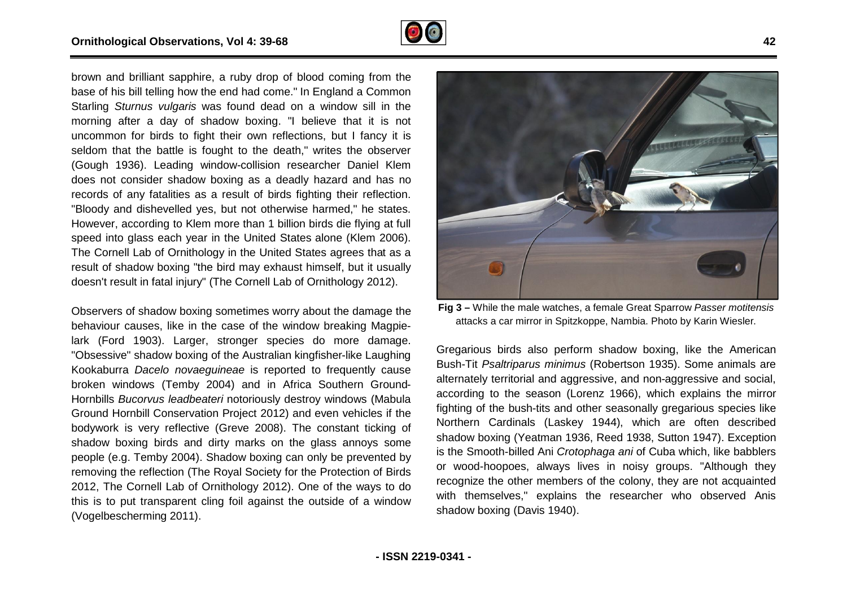

brown and brilliant sapphire, a ruby drop of blood coming from the base of his bill telling how the end had come." In England a Common Starling *Sturnus vulgaris* was found dead on a window sill in the morning after a day of shadow boxing. "I believe that it is not uncommon for birds to fight their own reflections, but I fancy it is seldom that the battle is fought to the death," writes the observer (Gough 1936). Leading window-collision researcher Daniel Klem does not consider shadow boxing as a deadly hazard and has no records of any fatalities as a result of birds fighting their reflection. "Bloody and dishevelled yes, but not otherwise harmed," he states. However, according to Klem more than 1 billion birds die flying at full speed into glass each year in the United States alone (Klem 2006). The Cornell Lab of Ornithology in the United States agrees that as a result of shadow boxing "the bird may exhaust himself, but it usually doesn't result in fatal injury" (The Cornell Lab of Ornithology 2012). boxing. "I<br>I own refle<br>Io the deat<br>collision re<br>Is as a deat<br>Ilt of birds the bird may exhaust himself, but it usually<br>y" (The Cornell Lab of Ornithology 2012).<br>ing sometimes worry about the damage the<br>the case of the window breaking Magpie-

Observers of shadow boxing sometimes worry about the damage the behaviour causes, like in the case of the window breaking Magpie lark (Ford 1903). Larger, stronger species do more damage. lark (Ford 1903). Larger, stronger species do more damage.<br>"Obsessive" shadow boxing of the Australian kingfisher-like Laughing Kookaburra *Dacelo novaeguineae* is reported to frequently cause broken windows (Temby 2004) and in Africa Southern Ground Ground-Hornbills *Bucorvus leadbeateri* notoriously destroy windows (Mabula Ground Hornbill Conservation Project 2012) and even vehicles if the bodywork is very reflective (Greve 2008). The constant ticking of shadow boxing birds and dirty marks on the glass annoys some people (e.g. Temby 2004). Shadow boxing can only be prevented by removing the reflection (The Royal Society for the Protection of Birds 2012, The Cornell Lab of Ornithology 2012). One of the ways to do this is to put transparent cling foil against the outside of a window (Vogelbescherming 2011). ing sometimes worry about the damage the<br>
tig 3 – While the male watches, a female Great Sparrow<br>
the case of the window breaking Magpie-<br>
Figure and the Australian kingfisher-like Laughing<br>
Eregarious birds also perform s



attacks a car mirror in Spitzkoppe, Nambia. Photo by Karin Wiesler Wiesler. **Fig 3 – While the male watches, a female Great Sparrow Passer motitensis** 

Gregarious birds also perform shadow boxing, like the American Bush-Tit *Psaltriparus minimus* (Robertson 1935). Some animals are alternately territorial and aggressive, and non-aggressive and social, according to the season (Lorenz 1966), which explains the mirror fighting of the bush-tits and other seasonally gregarious species like Northern Cardinals (Laskey 1944), which are often described shadow boxing (Yeatman 1936, Reed 1938, Sutton 1947). Exception is the Smooth-billed Ani *Crotophaga ani* of Cuba which, like babblers or wood-hoopoes, always lives in noisy groups. " recognize the other members of the colony, they are not acquainted with themselves," explains the researcher who observed Anis shadow boxing (Davis 1940). and aggressive, and non-aggressive and social, ason (Lorenz 1966), which explains the mirror tits and other seasonally gregarious species like (Laskey 1944), which are often described the than 1936, Reed 1938, Sutton 1947)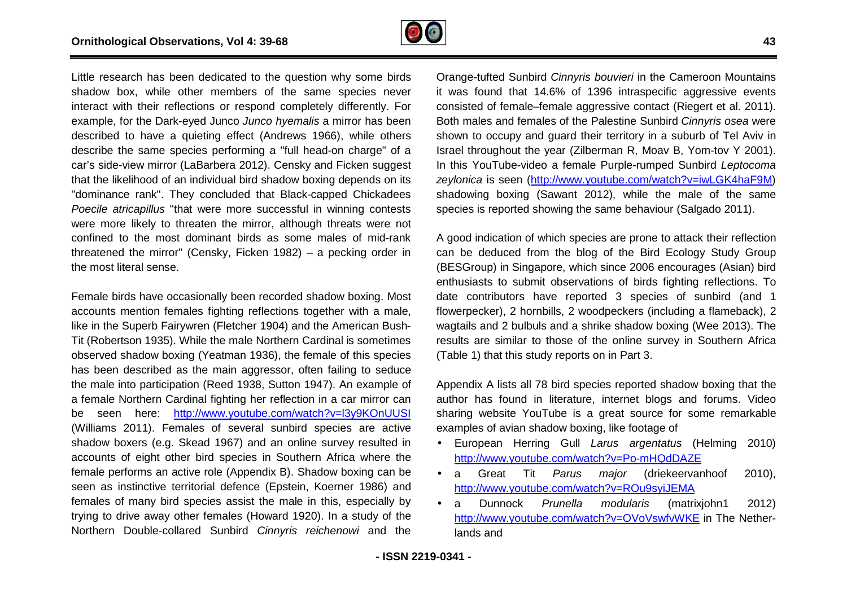

Little research has been dedicated to the question why some birds shadow box, while other members of the same species never interact with their reflections or respond completely differently. For example, for the Dark-eyed Junco *Junco hyemalis* a mirror has been described to have a quieting effect (Andrews 1966), while others describe the same species performing a "full head-on charge" of a car's side-view mirror (LaBarbera 2012). Censky and Ficken suggest car's side-view mirror (LaBarbera 2012). Censky and Ficken suggest<br>that the likelihood of an individual bird shadow boxing depends on its "dominance rank". They concluded that Black-capped Chickadees *Poecile atricapillus* "that were more successful in winning contests were more likely to threaten the mirror, although threats were not confined to the most dominant birds as some males of mid threatened the mirror" (Censky, Ficken 1982) – a pecking order in the most literal sense. capped Chickadees<br>in winning contests<br>gh threats were not<br>males of mid-rank

Female birds have occasionally been recorded shadow boxing. Most accounts mention females fighting reflections together with a male, like in the Superb Fairywren (Fletcher 1904) and the American Bush Bush- Tit (Robertson 1935). While the male Northern Cardinal is sometimes observed shadow boxing (Yeatman 1936), the female of this species has been described as the main aggressor, often failing to seduce the male into participation (Reed 1938, Sutton 1947). An example of a female Northern Cardinal fighting her reflection in a car mirror can be seen here: <http://www.youtube.com/watch?v=l3y9KOnUUSI> (Williams 2011). Females of several sunbird species are active shadow boxers (e.g. Skead 1967) and an online survey resulted in accounts of eight other bird species in Southern Africa where the female performs an active role (Appendix B). Shadow boxing can be seen as instinctive territorial defence (Epstein, Koerner 1986) and females of many bird species assist the male in this, especially by trying to drive away other females (Howard 1920). In a study of the Northern Double-collared Sunbird *Cinnyris reichenowi* and the Yeatman 1936), the fer<br>e main aggressor, ofte<br>(Reed 1938, Sutton 19<br>al fighting her reflection

Orange-tufted Sunbird *Cinnyris bouvieri* in the Cameroon Mountains it was found that 14.6% of 1396 intraspecific aggressive events it was found that 14.6% of 1396 intraspecific aggressive events<br>consisted of female–female aggressive contact (Riegert et al. 2011). Both males and females of the Palestine Sunbird *Cinnyris osea* were shown to occupy and guard their territory in a suburb of Tel Aviv in Israel throughout the year (Zilberman R, Moav B, Yom-tov Y 2001). In this YouTube-video a female Purple-rumped Sunbird Leptocoma zeylonica is seen (<http://www.youtube.com/watch?v=iwLGK4haF9M>) shadowing boxing (Sawant 2012), while the male of the same shadowing boxing (Sawant 2012), while the male of the sa<br>species is reported showing the same behaviour (Salgado 2011).

A good indication of which species are prone to attack their reflection can be deduced from the blog of the Bird Ecology Study Group (BESGroup) in Singapore, which since 2006 encourages (Asian) bird enthusiasts to submit observations of birds fighting reflections. To date contributors have reported 3 species of sunbird (and 1 flowerpecker), 2 hornbills, 2 woodpeckers (including a flameback), 2 wagtails and 2 bulbuls and a shrike shadow boxing (Wee 2013). The results are similar to those of the online survey in Southern Africa (Table 1) that this study reports on in Part 3.

Appendix A lists all 78 bird species reported shadow boxing that the author has found in literature, internet blogs and forums. Video sharing website YouTube is a great source for some remarkable examples of avian shadow boxing, like footage of

- European Herring Gull *Larus argentatus* (Helming 2010) http://www.youtube.com/watch?v=Po-mHQdDAZE
- a Great Tit *Parus major* (driekeervanhoof 2010), <u>http://www.youtube.com/watch?v=Po-mHQdDAZE</u><br>a Great Tit *Parus major* (driekeervar<br><u><http://www.youtube.com/watch?v=ROu9syiJEMA></u>
- a Dunnock *Prunella modularis* (matrixjohn1 2012) <http://www.youtube.com/watch?v=OVoVswfvWKE> in The Netherlands and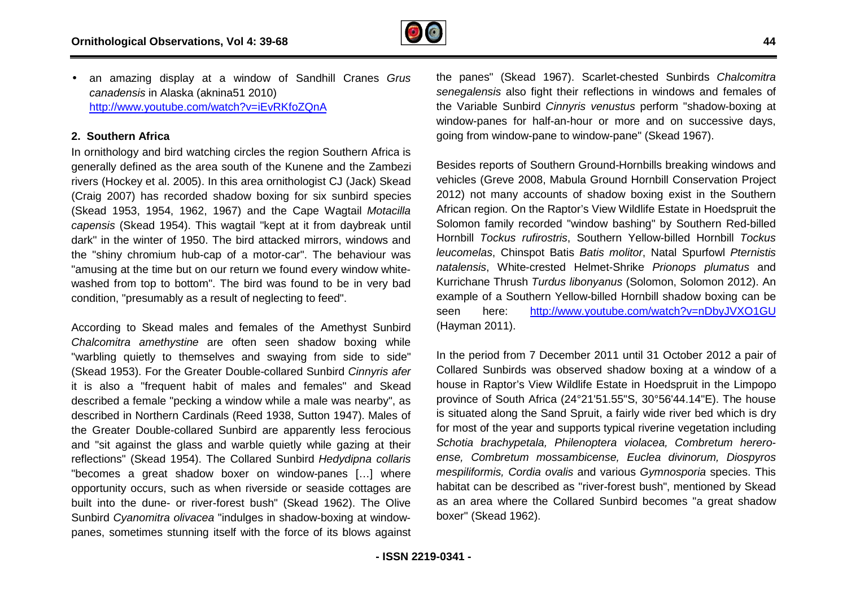

• an amazing display at a window of Sandhill Cranes *Grus canadensis* in Alaska (aknina51 2010) <http://www.youtube.com/watch?v=iEvRKfoZQnA>

### **2. Southern Africa**

In ornithology and bird watching circles the region Southern Africa is generally defined as the area south of the Kunene and the Zambezi rivers (Hockey et al. 2005). In this area ornithologist CJ (Jack) Skead (Craig 2007) has recorded shadow boxing for six sunbird species (Skead 1953, 1954, 1962, 1967) and the Cape Wagtail *Motacilla capensis* (Skead 1954). This wagtail "kept at it from daybreak until dark" in the winter of 1950. The bird attacked mirrors, windows and the "shiny chromium hub-cap of a motor-car". The behaviour was "amusing at the time but on our return we found every window whitewashed from top to bottom". The bird was found to be in very bad condition, "presumably as a result of neglecting to feed". capensis (Skead 1954). This wagtail "kept at it from daybreak until<br>lark" in the winter of 1950. The bird attacked mirrors, windows and<br>he "shiny chromium hub-cap of a motor-car". The behaviour was<br>amusing at the time but

According to Skead males and females of the Amethyst Sunbird *Chalcomitra amethystine* are often seen shadow boxing while "warbling quietly to themselves and swaying from side to side" (Skead 1953). For the Greater Double-collared Sunbird Cinnyris afer it is also a "frequent habit of males and females" and Skead it is also a "frequent habit of males and females" and Skead<br>described a female "pecking a window while a male was nearby", as described in Northern Cardinals (Reed 1938, Sutton 1947). Males of the Greater Double-collared Sunbird are apparently less ferocious and "sit against the glass and warble quietly while gazing at their reflections" (Skead 1954). The Collared Sunbird *Hedydipna collaris* "becomes a great shadow boxer on window-panes […] where opportunity occurs, such as when riverside or seaside cottages are built into the dune- or river-forest bush" (Skead 1962). The Olive Sunbird Cyanomitra olivacea "indulges in shadow-boxing at windowpanes, sometimes stunning itself with the force of its blows against often seen shadow boxing while<br>s and swaying from side to side"<br>Double-collared Sunbird *Cinnyris afer* "sit against the glass and warble quietly while gations" (Skead 1954). The Collared Sunbird Hedyones a great shadow boxer on window-panes<br>rtunity occurs, such as when riverside or seaside

the panes" (Skead 1967). Scarlet-chested Sunbirds Chalcomitra *senegalensis* also fight their reflections in windows and females of the Variable Sunbird *Cinnyris venustus* perform "shadow-boxing at window-panes for half-an-hour or more and on successive days, window-panes for half-an-hour or more and on succe<br>going from window-pane to window-pane" (Skead 1967).

Besides reports of Southern Ground-Hornbills breaking windows and vehicles (Greve 2008, Mabula Ground Hornbill Conservation Project 2012) not many accounts of shadow boxing exist in the Southern African region. On the Raptor's View Wildlife Estate in Hoedspru Hoedspruit the Solomon family recorded "window bashing" by Southern Red-billed Hornbill *Tockus rufirostris*, Southern Yellow-billed Hornbill billed*Tockus leucomelas*, Chinspot Batis *Batis molitor*, Natal Spurfowl *Pternistis natalensis*, White-crested Helmet-Shrike *Prionops plumatus* and Kurrichane Thrush *Turdus libonyanus* (Solomon, Solomon 2012). An example of a Southern Yellow-billed Hornbill shadow boxing can be seen here: <http://www.youtube.com/watch?v=nDbyJVXO1GU> (Hayman 2011).

In the period from 7 December 2011 until 31 October 2012 a pair of Collared Sunbirds was observed shadow boxing at a window of a house in Raptor's View Wildlife Estate in Hoedspruit in the Limpopo province of South Africa (24°21'51.55"S, 30°56'44.14"E). Th is situated along the Sand Spruit, a fairly wide river bed which is dry for most of the year and supports typical riverine vegetation including *Schotia brachypetala, Philenoptera violacea, Combretum hereroense, Combretum mossambicense, Euclea divi divinorum, Diospyros mespiliformis, Cordia ovalis* and various *Gymnosporia* species. This habitat can be described as "river-forest bush", mentioned by Skead habitat can be described as "river-forest bush", mentioned by Skead<br>as an area where the Collared Sunbird becomes "a great shadow boxer" (Skead 1962). billed Hornbill shadow boxing can be<br>
<u>outube.com/watch?v=nDbyJVXO1GU</u><br>
2011 until 31 October 2012 a pair of<br>
ed shadow boxing at a window of a<br>
Estate in Hoedspruit in the Limpopo<br>
'51.55"S, 30°56'44.14"E). The house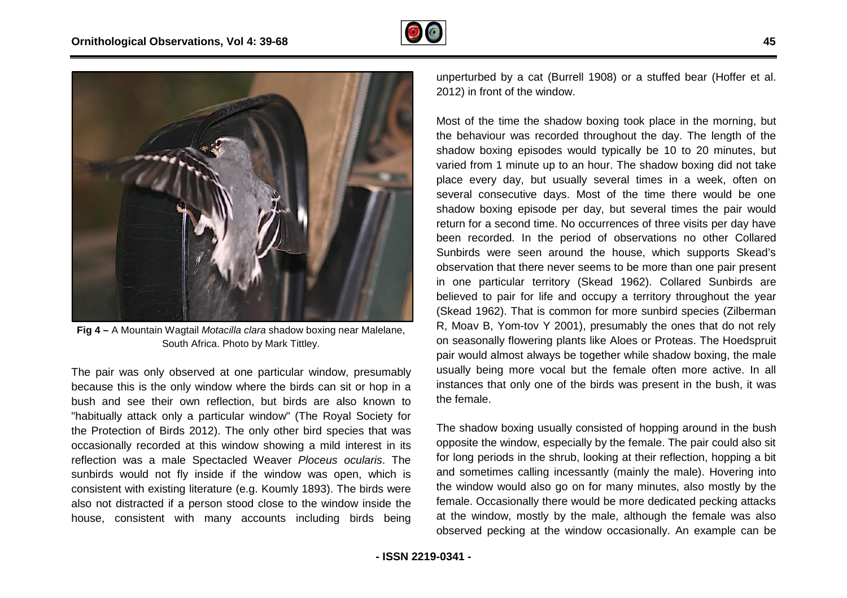



**Fig 4 –** A Mountain Wagtail *Motacilla clara* shadow boxing near Malelane, South Africa. Photo by Mark Tittley.

The pair was only observed at one particular window, presumably because this is the only window where the birds can sit or hop in a bush and see their own reflection, but birds are also known to "habitually attack only a particular window" (The Royal Society for the Protection of Birds 2012). The only other bird species that was occasionally recorded at this window showing a mild interest in its reflection was a male Spectacled Weaver *Ploceus ocularis* sunbirds would not fly inside if the window was open, which is consistent with existing literature (e.g. Koumly 1893). The birds were also not distracted if a person stood close to the window inside the house, consistent with many accounts including birds being n, but birds are also known to<br>window" (The Royal Society for<br>only other bird species that was<br>ow showing a mild interest in its<br>I Weaver *Ploceus ocularis*. The 2012) in front of the window.

steptive of the three than the three than the particle of the three the state (Burrell 1908) or a stuffed bear in the membring, but<br>the behaviour was recorded froptographic the device of the period of the study in the stud Most of the time the shadow boxing took place in the morning, but the behaviour was recorded throughout the day. The length of the shadow boxing episodes would typically be 10 to 20 minutes, but varied from 1 minute up to an hour. The shadow boxing did not take place every day, but usually several times in a week, often on several consecutive days. Most of the time there would be one shadow boxing episode per day, but several times the pair would return for a second time. No occurrences of three visits per day have been recorded. In the period of observations no other Collared Sunbirds were seen around the house, which supports Skead's observation that there never seems to be more than one pair present in one particular territory (Skead 1962). Collared Sunbirds are believed to pair for life and occupy a territory throughout the year (Skead 1962). That is common for more sunbird species (Zilberman R, Moav B, Yom-tov Y 2001), presumably the ones that do not rely on seasonally flowering plants like Aloes or Proteas. The Hoedspruit pair would almost always be together while shadow boxing, the male usually being more vocal but the female often more active. In all instances that only one of the birds was present in the bush, it was the female. e day.<br>be 10<br>nadow l<br>res in<br>me the al but the female often more active. In all<br>of the birds was present in the bush, it was<br>ally consisted of hopping around in the bush<br>pecially by the female. The pair could also sit

The shadow boxing usually consisted of hopping around in the bush opposite the window, especially by the female. The pair could al for long periods in the shrub, looking at their reflection, hopping a bit and sometimes calling incessantly (mainly the male). Hovering into the window would also go on for many minutes, also mostly by the female. Occasionally there would be more dedicated pecking attacks at the window, mostly by the male, although the female was also observed pecking at the window occasionally. An example can be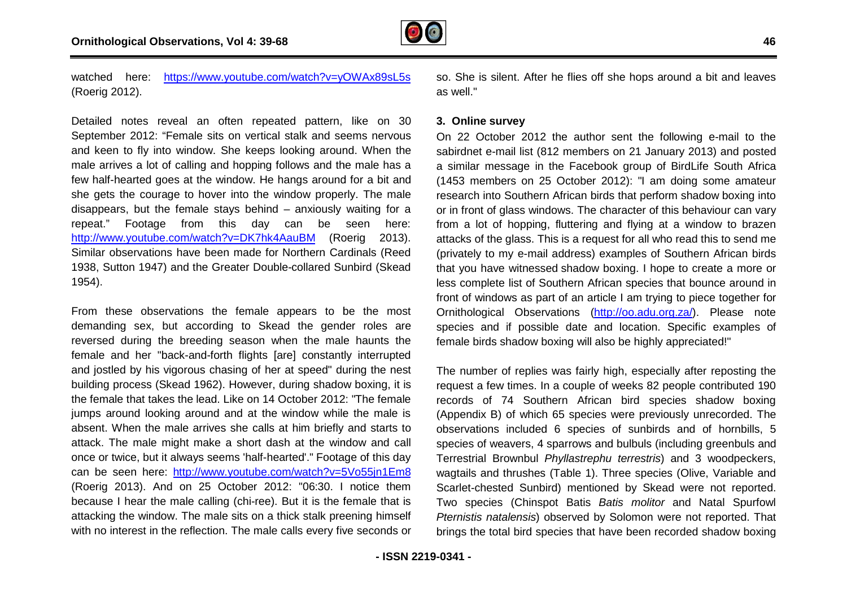

watched here: https://www.youtube.com/watch?v=vOWAx89sL5s (Roerig 2012).

Detailed notes reveal an often repeated pattern, like on 30 September 2012: "Female sits on vertical stalk and seems nervous and keen to fly into window. She keeps looking around. When the male arrives a lot of calling and hopping follows and the male has a few half-hearted goes at the window. He hangs around for a bit and she gets the courage to hover into the window properly. The male disappears, but the female stays behind – anxiously waiting for a repeat." Footage from this day can be seen here <http://www.youtube.com/watch?v=DK7hk4AauBM> (Roerig 2013). Similar observations have been made for Northern Cardinals ( (Reed 1938, Sutton 1947) and the Greater Double-collared Sunbird (Skead 1954). https://www.youtube.com/watch?v=y[O](https://www.youtube.com/watch?v=y)WAx89sL5s<br>2012).<br>notes reveal an often repeated pattern, like on 30<br>per 2012: "Female sits on vertical stalk and seems nervous<br>n to fly into window. She keeps looking around. When the<br>ives

From these observations the female appears to be the most demanding sex, but according to Skead the gender roles are reversed during the breeding season when the male haunts the female and her "back-and-forth flights [are] constantly interrupted and jostled by his vigorous chasing of her at speed" during the nest building process (Skead 1962). However, during shadow boxing, it is the female that takes the lead. Like on 14 October 2012: " jumps around looking around and at the window while the male is absent. When the male arrives she calls at him briefly and starts to attack. The male might make a short dash at the window and call once or twice, but it always seems 'half-hearted'." Footage of this day can be seen here: <http://www.youtube.com/watch?v=5Vo55jn1Em8> (Roerig 2013). And on 25 October 2012: "06:30. I notice them because I hear the male calling (chi-ree). But it is the female that is attacking the window. The male sits on a thick stalk preening himself with no interest in the reflection. The male calls every five seconds or igorous chasing of her at speed" during the nest<br>‹ead 1962). However, during shadow boxing, it is<br>s the lead. Like on 14 October 2012: "The female

as well." so. She is silent. After he flies off she hops around a bit and leaves<br>as well."<br>3. Online survey<br>On 22 October 2012 the author sent the following e-mail to the

### **3. Online survey**

**Example are the com/watch?v=yOWAx59s1.5s** so. She is silent. After he flies off she hops around a bit and leaves as well."<br>
sa well." as well." as well." as the interaction of a a bit and seems nervous On 22 October 2012 sabirdnet e-mail list (812 members on 21 January 2013) and posted a similar message in the Facebook group of BirdLife South Africa (1453 members on 25 October 2012): "I am doing some amateur research into Southern African birds that perform shadow or in front of glass windows. The character of this behaviour can vary from a lot of hopping, fluttering and flying at a window to brazen attacks of the glass. This is a request for all who read this to send me (privately to my e-mail address) examples of Southern African birds that you have witnessed shadow boxing. I hope to create a more or less complete list of Southern African species that bounce around in front of windows as part of an article I am trying to piece together for Ornithological Observations (http://oo.adu.org.za/ species and if possible date and location. Specific examples of female birds shadow boxing will also be highly appreciated!" mail list (812 members on 21 January 2013) and posted<br>essage in the Facebook group of BirdLife South Africa<br>bers on 25 October 2012): "I am doing some amateur<br>o Southern African birds that perform shadow boxing into il address) examples of Southern African birds<br>sed shadow boxing. I hope to create a more or<br>Southern African species that bounce around in<br>art of an article I am trying to piece together for<br>rvations (http://oo.adu.org.za

The number of replies was fairly high, especially after reposting the female birds shadow boxing will also be highly appreciated!"<br>The number of replies was fairly high, especially after reposting the<br>request a few times. In a couple of weeks 82 people contributed 190 records of 74 Southern African bird species shadow boxing (Appendix B) of which 65 species were previously unrecorded. The observations included 6 species of sunbirds and of hornbills, 5 species of weavers, 4 sparrows and bulbuls (including greenbuls and Terrestrial Brownbul *Phyllastrephu terrestris*) and 3 woodpeckers, wagtails and thrushes (Table 1). Three species (Olive, Variable and Scarlet-chested Sunbird) mentioned by Skead were not reported. Scarlet-chested Sunbird) mentioned by Skead were not reported.<br>Two species (Chinspot Batis *Batis molitor* and Natal Spurfowl *Pternistis natalensis*) observed by Solomon were not reported. That brings the total bird species that have been recorded shadow boxing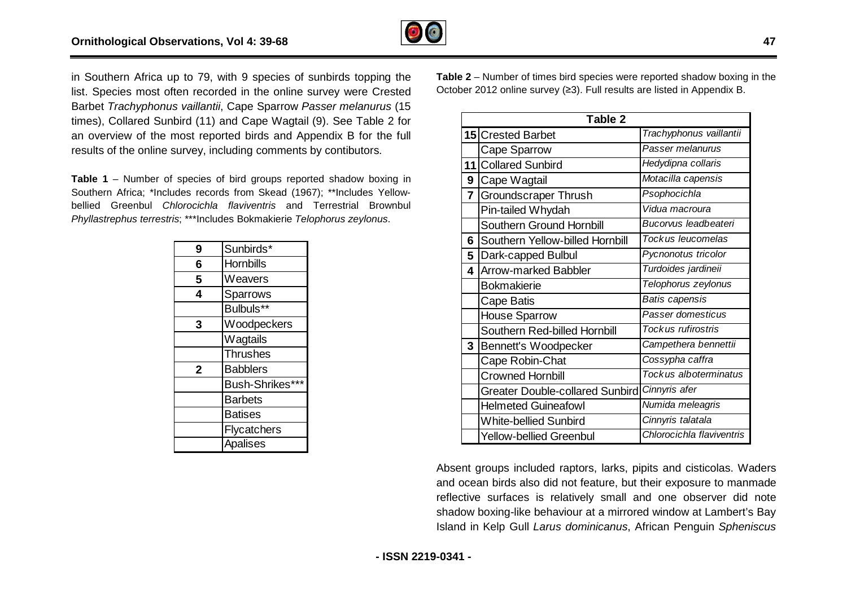

in Southern Africa up to 79, with 9 species of sunbirds topping the ,list. Species most often recorded in the online survey were Crested Barbet *Trachyphonus vaillantii*, Cape Sparrow *Passer melanurus* (15 times), Collared Sunbird (11) and Cape Wagtail (9). See Table 2 for an overview of the most reported birds and Appendix B for the full results of the online survey, including comments by contibutors.

**Table 1 – Number of species of bird groups reported shadow boxing in** Southern Africa; \*Includes records from Skead (1967); \*\*Includes Yellowbellied Greenbul *Chlorocichla flaviventris* and Terrestrial Brownbul *Phyllastrephus terrestris*; \*\*\*Includes Bokmakierie *Telophorus zeylonus* .

| 9           | Sunbirds*       |
|-------------|-----------------|
| 6           | Hornbills       |
| 5           | Weavers         |
| 4           | Sparrows        |
|             | Bulbuls**       |
| 3           | Woodpeckers     |
|             | Wagtails        |
|             | <b>Thrushes</b> |
| $\mathbf 2$ | <b>Babblers</b> |
|             | Bush-Shrikes*** |
|             | <b>Barbets</b>  |
|             | <b>Batises</b>  |
|             | Flycatchers     |
|             | Apalises        |

**Table 2** – Number of times bird species were reported shadow boxing in the October 2012 online survey (≥3). Full results are listed in Appendix B.

|   | Table 2                                |                           |
|---|----------------------------------------|---------------------------|
|   | 15 Crested Barbet                      | Trachyphonus vaillantii   |
|   | <b>Cape Sparrow</b>                    | Passer melanurus          |
|   | 11 Collared Sunbird                    | Hedydipna collaris        |
| 9 | Cape Wagtail                           | Motacilla capensis        |
| 7 | <b>Groundscraper Thrush</b>            | Psophocichla              |
|   | Pin-tailed Whydah                      | Vidua macroura            |
|   | Southern Ground Hornbill               | Bucorvus leadbeateri      |
| 6 | Southern Yellow-billed Hornbill        | Tockus leucomelas         |
| 5 | Dark-capped Bulbul                     | Pycnonotus tricolor       |
| 4 | Arrow-marked Babbler                   | Turdoides jardineii       |
|   | Bokmakierie                            | Telophorus zeylonus       |
|   | Cape Batis                             | <b>Batis capensis</b>     |
|   | <b>House Sparrow</b>                   | Passer domesticus         |
|   | Southern Red-billed Hornbill           | Tockus rufirostris        |
| 3 | Bennett's Woodpecker                   | Campethera bennettii      |
|   | Cape Robin-Chat                        | Cossypha caffra           |
|   | <b>Crowned Hornbill</b>                | Tockus alboterminatus     |
|   | <b>Greater Double-collared Sunbird</b> | Cinnyris afer             |
|   | <b>Helmeted Guineafowl</b>             | Numida meleagris          |
|   | <b>White-bellied Sunbird</b>           | Cinnyris talatala         |
|   | <b>Yellow-bellied Greenbul</b>         | Chlorocichla flaviventris |

Absent groups included raptors, larks, pipits and cisticolas. Waders and ocean birds also did not feature, but their exposure to manmade reflective surfaces is relatively small and one observer did note shadow boxing-like behaviour at a mirrored window at Lambert's Bay Island in Kelp Gull *Larus dominicanus*, African Penguin *Spheniscus*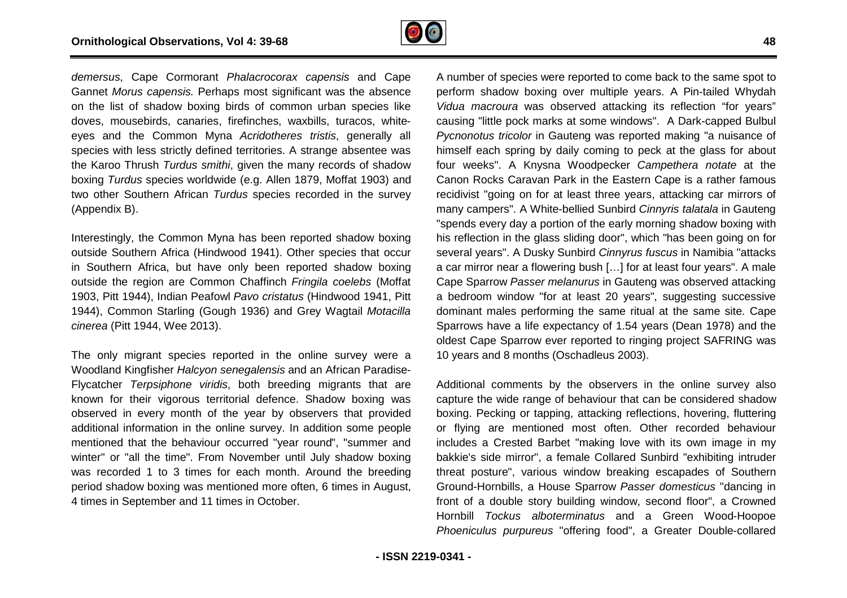

*demersus*, Cape Cormorant *Phalacrocorax capensis*  and Cape Gannet *Morus capensis.* Perhaps most significant was the absence on the list of shadow boxing birds of common urban species like doves, mousebirds, canaries, firefinches, waxbills, turacos, whiteeyes and the Common Myna *Acridotheres tristis*, generally all species with less strictly defined territories. A strange absentee was the Karoo Thrush *Turdus smithi*, given the many records of shadow boxing *Turdus* species worldwide (e.g. Allen 1879, Moffat 1903) and two other Southern African *Turdus* species recorded in the survey (Appendix B).

Interestingly, the Common Myna has been reported shadow boxing outside Southern Africa (Hindwood 1941). Other species that occur in Southern Africa, but have only been reported shadow boxing outside the region are Common Chaffinch *Fringila coelebs* (Moffat 1903, Pitt 1944), Indian Peafowl *Pavo cristatus* (Hindwood 1941, Pitt 1944), Common Starling (Gough 1936) and Grey Wagtail Motacilla *cinerea* (Pitt 1944, Wee 2013).

The only migrant species reported in the online survey were a Woodland Kingfisher *Halcyon senegalensis* and an African Paradise Paradise-Flycatcher *Terpsiphone viridis*, both breeding migrants that are known for their vigorous territorial defence. Shadow boxing was observed in every month of the year by observers that provided additional information in the online survey. In addition some people mentioned that the behaviour occurred "year round", "summer and winter" or "all the time". From November until July shadow boxing was recorded 1 to 3 times for each month. Around the breeding period shadow boxing was mentioned more often, 6 times in August, 4 times in September and 11 times in October.

or Paraderocorax coperats and Cape A number of species were eported to come back to the same spot to come and income and income back to the same species like of come or and income or the same species in the same species in perform shadow boxing over multiple years. A P Pin-tailed Whydah *Vidua macroura* was observed attacking its reflection "for years" causing "little pock marks at some windows". A Dark Dark-capped Bulbul Pycnonotus tricolor in Gauteng was reported making "a nuisance of himself each spring by daily coming to peck at the glass for about four weeks". A Knysna Woodpecker *Campethera notate* at the Canon Rocks Caravan Park in the Eastern Cape is a rather famous recidivist "going on for at least three years, attacking car mirrors of many campers". A White-bellied Sunbird *Cinnyris talatala* in Gauteng "spends every day a portion of the early morning shadow boxing with his reflection in the glass sliding door", which "has been going on for several years". A Dusky Sunbird *Cinnyrus fuscus*  in Namibia "attacks a car mirror near a flowering bush [...] for at least four years". A male Cape Sparrow Passer melanurus in Gauteng was observed attacking a bedroom window "for at least 20 years", suggesting successive dominant males performing the same ritual at the same site. Cape Sparrows have a life expectancy of 1.54 years (Dean 1978) and the oldest Cape Sparrow ever reported to ringing project SAFRING was 10 years and 8 months (Oschadleus 2003). , suggesting successive<br>at the same site. Cape<br>ars (Dean 1978) and the

Additional comments by the observers in the online survey also capture the wide range of behaviour that can be considered shadow boxing. Pecking or tapping, attacking reflections, hovering, fluttering or flying are mentioned most often. Other recorded behaviour includes a Crested Barbet "making love with its own image in my includes a Crested Barbet "making love with its own image in my<br>bakkie's side mirror", a female Collared Sunbird "exhibiting intruder threat posture", various window breaking escapades of Southern ,Ground-Hornbills, a House Sparrow *Passer domesticus* "dancing in front of a double story building window, second floor", a Crowned Hornbill *Tockus alboterminatus* and a Green Wood Wood-Hoopoe Phoeniculus purpureus "offering food", a Greater Double-collared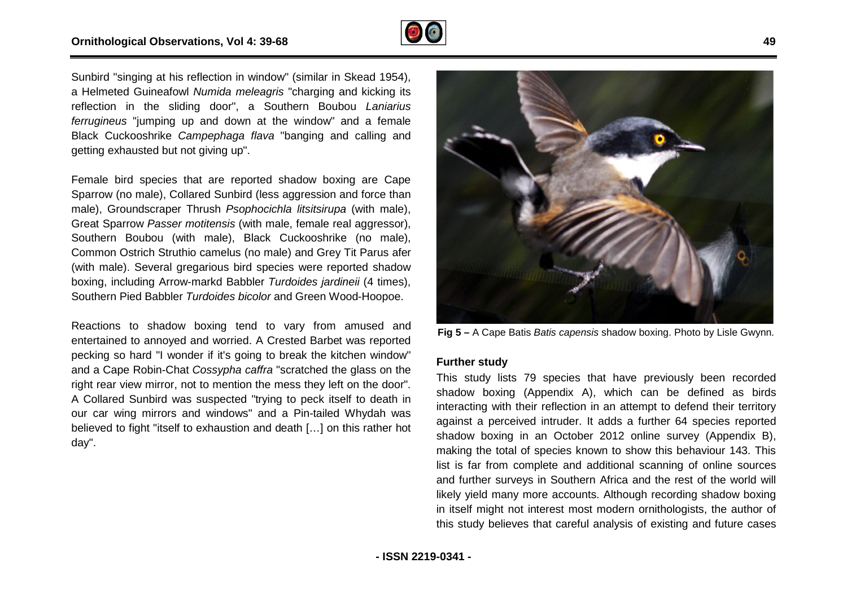

Sunbird "singing at his reflection in window" (similar in Skead 1954), a Helmeted Guineafowl *Numida meleagris* "charging and kicking its a Helmeted Guineafowl *Numida meleagris* "charging and kicking its<br>reflection in the sliding door", a Southern Boubou *Laniarius ferrugineus* "jumping up and down at the window" and a female Black Cuckooshrike *Campephaga flava* "banging and calling and getting exhausted but not giving up". Black Cuckooshrike *Campephaga flava* "banging and calling and<br>getting exhausted but not giving up".<br>Female bird species that are reported shadow boxing are Cape

Sparrow (no male), Collared Sunbird (less aggression and force than male), Groundscraper Thrush *Psophocichla litsitsirupa* (with male), Great Sparrow *Passer motitensis* (with male, female real aggressor), Southern Boubou (with male), Black Cuckooshrike (no male), Common Ostrich Struthio camelus (no male) and Grey Tit Parus afer (with male). Several gregarious bird species were reported shadow boxing, including Arrow-markd Babbler *Turdoides jardineii* (4 times), Southern Pied Babbler Turdoides bicolor and Green Wood-Hoopoe.

Reactions to shadow boxing tend to vary from amused and entertained to annoyed and worried. A Crested Barbet was reported pecking so hard "I wonder if it's going to break the kitchen window" and a Cape Robin-Chat *Cossypha caffra* "scratched the glass on the right rear view mirror, not to mention the mess they left on the door". A Collared Sunbird was suspected "trying to peck itself to death in our car wing mirrors and windows" and a Pin-tailed Whydah was believed to fight "itself to exhaustion and death […] on this rather hot day". I. A Crested Barbet was reported<br>ing to break the kitchen window"<br>caffra "scratched the glass on the<br>n the mess they left on the door".



Fig 5 - A Cape Batis Batis capensis shadow boxing. Photo by Lisle Gwynn.

#### **Further study**

Fig 5 – A Cape Batis *Batis capensis* shadow boxing. Photo by Lisle Gwynn<br>
That "scratched the glass on the<br>
the mess they left on the door".<br>
This study lists 79 species that have previously been recorder<br>
rying to peck This study lists 79 species that have previously been recorded shadow boxing (Appendix A), which can be defined as birds interacting with their reflection in an attempt to defend their territory against a perceived intruder. It adds a further 64 species reported shadow boxing in an October 2012 online survey (Appendix B), shadow boxing in an October 2012 online survey (Appendix B),<br>making the total of species known to show this behaviour 143. This list is far from complete and additional scanning of online sources and further surveys in Southern Africa and the rest of the world will likely yield many more accounts. Although recording shadow boxing in itself might not interest most modern ornithologists, the author of this study believes that careful analysis of existing and future cases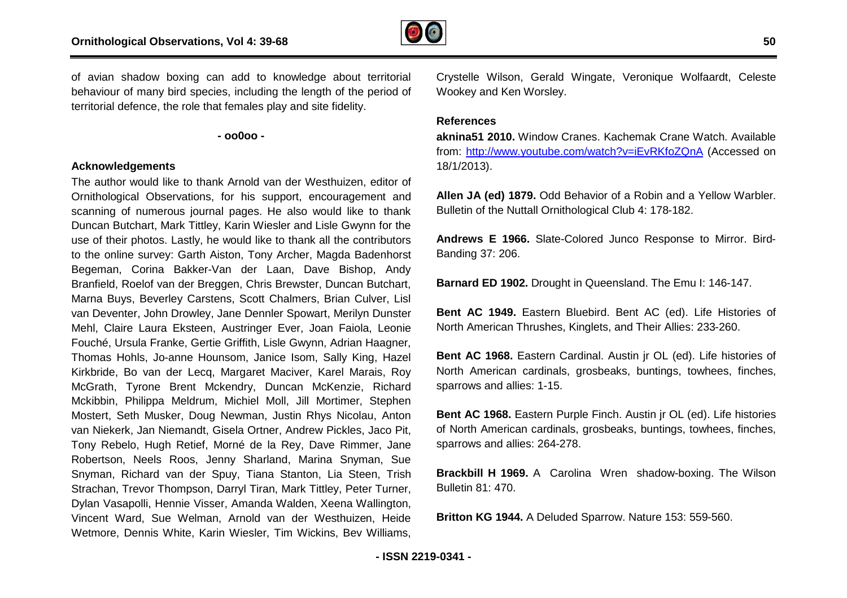

of avian shadow boxing can add to knowledge about territorial behaviour of many bird species, including the length of the period of territorial defence, the role that females play and site fidelity.

**- oo0oo -** 

#### **Acknowledgements**

The author would like to thank Arnold van der Westhuizen, editor of Ornithological Observations, for his support, encouragement and scanning of numerous journal pages. He also would like to thank Duncan Butchart, Mark Tittley, Karin Wiesler and Lisle Gwynn for the use of their photos. Lastly, he would like to thank all the contributors to the online survey: Garth Aiston, Tony Archer, Magda Badenhorst Begeman, Corina Bakker-Van der Laan, Dave Bishop, Andy Branfield, Roelof van der Breggen, Chris Brewster, Duncan Butchart, use of their photos. Lastly, he would like to thank all the contributors<br>to the online survey: Garth Aiston, Tony Archer, Magda Badenhorst<br>Begeman, Corina Bakker-Van der Laan, Dave Bishop, Andy<br>Branfield, Roelof van der Br van Deventer, John Drowley, Jane Dennler Spowart, Merilyn Dunster Mehl, Claire Laura Eksteen, Austringer Ever, Joan Faiola, Leonie Fouché, Ursula Franke, Gertie Griffith, Lisle Gwynn, Adrian Haagner, Thomas Hohls, Jo-anne Hounsom, Janice Isom, Sally King, Hazel Kirkbride, Bo van der Lecq, Margaret Maciver, Karel Marais, Roy McGrath, Tyrone Brent Mckendry, Duncan McKenzie, Richard Mckibbin, Philippa Meldrum, Michiel Moll, Jill Mortimer, Stephen Mostert, Seth Musker, Doug Newman, Justin Rhys Nicolau, Anton van Niekerk, Jan Niemandt, Gisela Ortner, Andrew Pickles, Jaco Pit, Tony Rebelo, Hugh Retief, Morné de la Rey, Dave Rimmer, Jane Robertson, Neels Roos, Jenny Sharland, Marina Snyman, Sue Snyman, Richard van der Spuy, Tiana Stanton, Lia Steen, Trish Strachan, Trevor Thompson, Darryl Tiran, Mark Tittley, Peter Turner, Dylan Vasapolli, Hennie Visser, Amanda Walden, Xeena Wallington, Vincent Ward, Sue Welman, Arnold van der Westhuize Westhuizen, Heide Wetmore, Dennis White, Karin Wiesler, Tim Wickins, Bev Williams, nke, Gertie Griffith, Lisle Gwynn, Adrian Haagner,<br>anne Hounsom, Janice Isom, Sally King, Hazel<br>der Lecq, Margaret Maciver, Karel Marais, Roy<br>Brent Mckendry, Duncan McKenzie, Richard<br>Meldrum, Michiel Moll, Jill Mortimer, S

Crystelle Wilson, Gerald Wingate, Veronique Wolfaardt, Celeste Wookey and Ken Worsley.

### **References**

**aknina51 2010.** Window Cranes. Kachemak Crane Watch. Available from: <http://www.youtube.com/watch?v=iEvRKfoZQnA> (Accessed on 18/1/2013).

**Allen JA (ed) 1879.** Odd Behavior of a Robin and a Yellow Warbler. Bulletin of the Nuttall Ornithological Club 4: 178-182.

Andrews E 1966. Slate-Colored Junco Response to Mirror. Bird-Banding 37: 206.

**Barnard ED 1902.** Drought in Queensland. The Emu I: 146 146-147.

**Bent AC 1949.** Eastern Bluebird. Bent AC (ed). Life Histories of North American Thrushes, Kinglets, and Their Allies: 233 233-260.

**Bent AC 1968.** Eastern Cardinal. Austin jr OL (ed). Life histories of North American cardinals, grosbeaks, buntings, towhees, finches, sparrows and allies: 1-15.

**Bent AC 1968.** Eastern Purple Finch. Austin jr OL (ed). Life histories of North American cardinals, grosbeaks, buntings, towhees, finches, sparrows and allies: 264-278. of North American cardinals, grosbeaks, buntings, towhees, finches,<br>sparrows and allies: 264-278.<br>**Brackbill H 1969.** A Carolina Wren shadow-boxing. The Wilson

Bulletin 81: 470.

**Britton KG 1944.** A Deluded Sparrow. Nature 153: 559 559-560.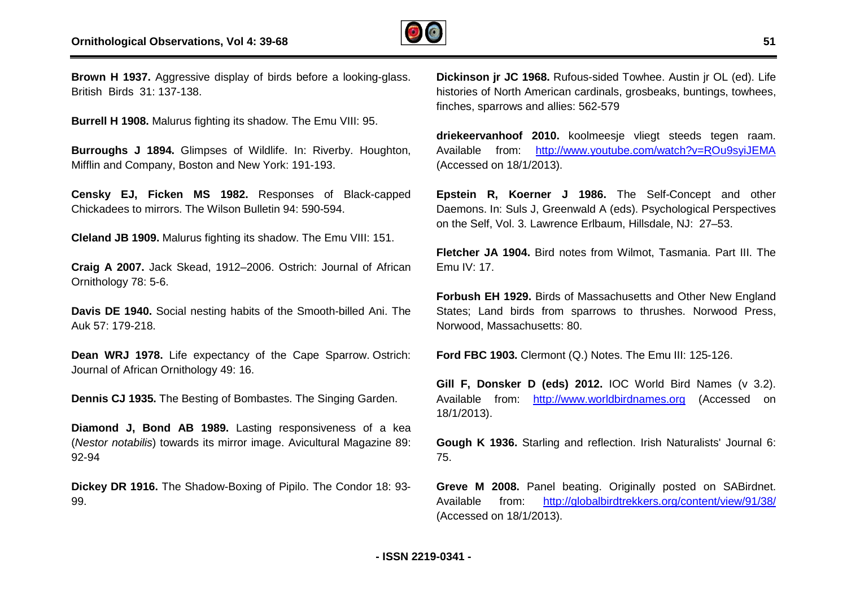

**Brown H 1937.** Aggressive display of birds before a l looking-glass. British Birds 31: 137-138.

**Burrell H 1908.** Malurus fighting its shadow. The Emu VIII: 95.

**Burroughs J 1894.** Glimpses of Wildlife. In: Riverby. Houghton, Mifflin and Company, Boston and New York: 191-193.

**Censky EJ, Ficken MS 1982.** Responses of Black-capped Chickadees to mirrors. The Wilson Bulletin 94: 590-594.

**Cleland JB 1909.** Malurus fighting its shadow. The Emu VIII: 151.

**Craig A 2007.** Jack Skead, 1912–2006. Ostrich: Journal of African Ornithology 78: 5-6.

**Davis DE 1940.** Social nesting habits of the Smooth-billed Ani. The Auk 57: 179-218. 3ulletin 94: 590-594.<br>ts shadow. The Emu VIII: 151.<br>2006. Ostrich: Journal of African<br>bits of the Smooth-billed Ani. The<br>v of the Cape Sparrow. Ostrich:

**Dean WRJ 1978.** Life expectancy of the Cape Sparrow. Journal of African Ornithology 49: 16.

**Dennis CJ 1935.** The Besting of Bombastes. The Singing Garden.

**Diamond J, Bond AB 1989.** Lasting responsiveness of a kea (*Nestor notabilis*) towards its mirror image. Avicultural Magazine 89: 92-94 Lasting responsiveness of a kea<br>irror image. Avicultural Magazine 89:<br>Boxing of Pipilo. The Condor 18: 93-

**Dickey DR 1916.** The Shadow-Boxing of Pipilo. The Condor 18: 93 99.

**Dickinson jr JC 1968.** Rufous-sided Towhee. Austin jr OL (ed). Life histories of North American cardinals, grosbeaks, buntings, towhees, finches, sparrows and allies: 562-579 **C 1968.** Rufous-sided Towhee. Austin jr OL (ed). Life<br>th American cardinals, grosbeaks, buntings, towhees,<br>ws and allies: 562-579<br>**of 2010.** koolmeesje vliegt steeds tegen raam.

**driekeervanhoof 2010.** koolmeesje vliegt steeds tegen raam. Available from: <u>[http://www.youtube.com/watch?v=RO](http://www.youtube.com/watch?v=R)u9syiJEMA</u> (Accessed on 18/1/2013).

**Epstein R, Koerner J 1986.** The Self-Concept and other Daemons. In: Suls J, Greenwald A (eds). Psychological Perspectives on the Self, Vol. 3. Lawrence Erlbaum, Hillsdale, NJ: 27-53. Concept and<br>nological Pers<br>, NJ: 27–53.

Fletcher JA 1904. Bird notes from Wilmot, Tasmania. Part III. The  $F$ mu IV $\cdot$  17.

**Forbush EH 1929.** Birds of Massachusetts and Other New England States; Land birds from sparrows to thrushes. Norwood Press, Norwood, Massachusetts: 80.

**Ford FBC 1903.** Clermont (Q.) Notes. The Emu III: 125 125-126.

**Gill F, Donsker D (eds) 2012.** IOC World Bird Names (v 3.2). Available from: <http://www.worldbirdnames.org> (Accessed on 18/1/2013).

**Gough K 1936.** Starling and reflection. Irish Naturalists' Journal 6: 75.

**Greve M 2008.** Panel beating. Originally posted on SABirdnet. Available from: <http://globalbirdtrekkers.org/content/view/91/38/> (Accessed on 18/1/2013).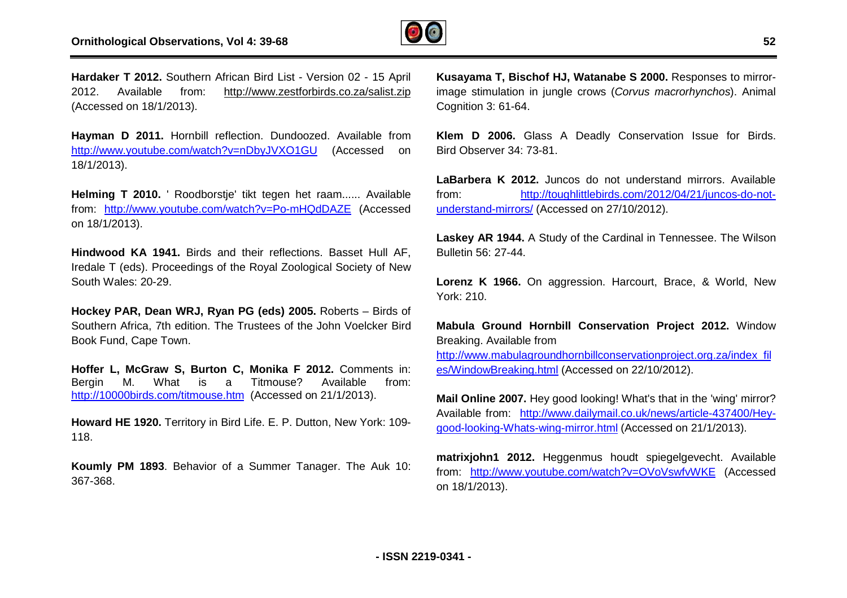

**Hardaker T 2012.** Southern African Bird List - Version 02 - 15 April 2012. Available from: <http://www.zestforbirds.co.za/salist.zip> (Accessed on 18/1/2013).

**Hayman D 2011.** Hornbill reflection. Dundoozed. Available from <http://www.youtube.com/watch?v=nDbyJVXO1GU> (Accessed on 18/1/2013).

**Helming T 2010.** ' Roodborstje' tikt tegen het raam...... Available from: <http://www.youtube.com/watch?v=Po>-mHQdDAZE (Accessed on 18/1/2013).

**Hindwood KA 1941.** Birds and their reflections. Basset Hull AF, Iredale T (eds). Proceedings of the Royal Zoological Society of New South Wales: 20-29.

**Hockey PAR, Dean WRJ, Ryan PG (eds) 2005.** Roberts – Birds of Southern Africa, 7th edition. The Trustees of the John Voelcker Bird Book Fund, Cape Town.

**Hoffer L, McGraw S, Burton C, Monika F 2012.** Comments in: Bergin M. What is a Titmouse? Available from: http://10000birds.com/titmouse.htm (Accessed on 21/1/2013). uthern Africa, 7th edition. The Trustees of the John Voelcker Bird<br>ok Fund, Cape Town.<br>**ffer L, McGraw S, Burton C, Monika F 2012.** Comments in:<br>rgin M. What is a Titmouse? Available from:<br>p://10000birds.com/titmouse.htm (

**Howard HE 1920.** Territory in Bird Life. E. P. Dutton, New York: 109 118.

**Koumly PM 1893**. Behavior of a Summer Tanager. The Auk 10: 367-368.

**Kusayama T, Bischof HJ, Watanabe S 2000.** Responses to mirrorimage stimulation in jungle crows (*Corvus macrorhynchos* ). Animal Cognition 3: 61-64.

**Klem D 2006.** Glass A Deadly Conservation Issue for Birds. Bird Observer 34: 73-81.

**LaBarbera K 2012.** Juncos do not understand mirrors. Available from: http://toughlittlebirds.com/2012/04/21/juncos [http://toughlittlebirds.com/2012/04/21/juncos-](http://toughlittlebirds.com/2012/04/21/juncos)do-notunderstand-mirrors/ (Accessed on 27/10/2012).

**Laskey AR 1944.** A Study of the Cardinal in Tennessee. The Wilson Bulletin 56: 27-44.

**Lorenz K 1966.** On aggression. Harcourt, Brace, & World, New York: 210.

**Mabula Ground Hornbill Conservation Project 2012.** Window Breaking. Available from

[http://www.mabulagroundhornbillconservationproject.org.za/index\\_fil](http://www.mabulagroundhornbillconservationproject.org.za/index_fil) es/WindowBreaking.html (Accessed on 22/10/2012).

**Mail Online 2007.** Hey good looking! What's that in the 'wing' mirror? **Mail Online 2007.** Hey good looking! What's that in the 'wing' mirror?<br>Available from: <u>[http://www.dailymail.co.uk/news/article-](http://www.dailymail.co.uk/news/article)437400/Hey-</u> good-looking-Whats-wing-mirror.html (Accessed on 21/1/2013).

**matrixjohn1 2012.** Heggenmus houdt spiegelgevecht. Available from: <http://www.youtube.com/watch?v=OVoVswfvWKE> (Accessed on 18/1/2013).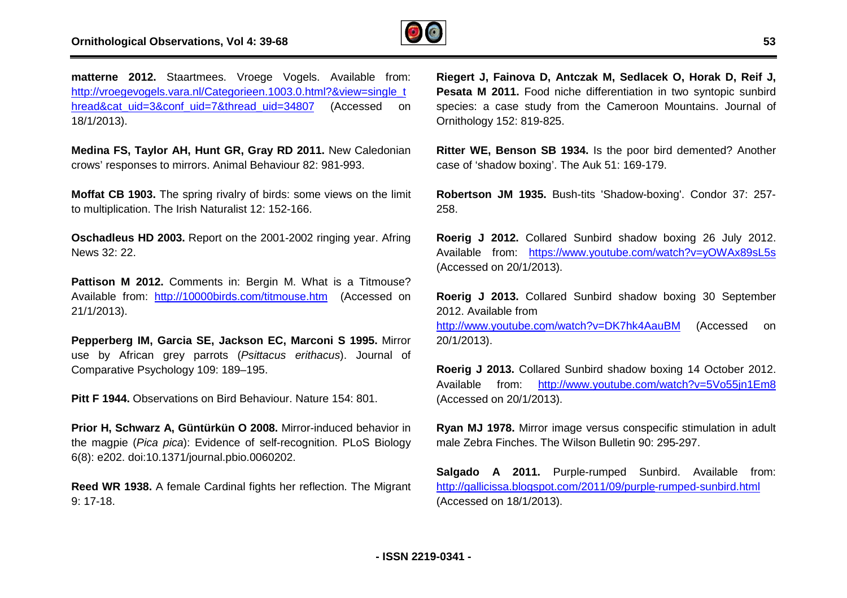

matterne 2012. Staartmees. Vroege Vogels. Available from: [http://vroegevogels.vara.nl/Categorieen.1003.0.html?&view=single\\_t](http://vroegevogels.vara.nl/Categorieen.1003.0.html?&view=single_t) hread&cat\_uid=3&conf\_uid=7&thread\_uid=34807 (Accessed on 18/1/2013).

**Medina FS, Taylor AH, Hunt GR, Gray RD 2011.** New Caledonian crows' responses to mirrors. Animal Behaviour 82: 981-993.

**Moffat CB 1903.** The spring rivalry of birds: some views on the limit to multiplication. The Irish Naturalist 12: 152-166. iur 82: 981-993.<br>2001 some views or:<br>166.<br>2002 ringing ye

**Oschadleus HD 2003.** Report on the 2001-2002 ringing year. Afring News 32: 22.

**Pattison M 2012.** Comments in: Bergin M. What is a Titmouse? Available from: <http://10000birds.com/titmouse.htm>(Accessed on 21/1/2013).

**Pepperberg IM, Garcia SE, Jackson EC, Marconi S 1995.** Mirror use by African grey parrots (*Psittacus erithacus*). Journal of Comparative Psychology 109: 189–195.

**Pitt F 1944.** Observations on Bird Behaviour. Nature 154: 801.

**Prior H, Schwarz A, Güntürkün O 2008.** Mirror-induced behavior in the magpie (*Pica pica*): Evidence of self-recognition. PLoS Biology 6(8): e202. doi:10.1371/journal.pbio.0060202. or-induced behavior in<br>ognition. PLoS Biology<br>reflection. The Migrant

**Reed WR 1938.** A female Cardinal fights her reflection 9: 17-18.

**Riegert J, Fainova D, Antczak M, Sedlacek O, Horak D, Reif J, Pesata M 2011.** Food niche differentiation in two syntopic sunbird species: a case study from the Cameroon Mountains. Journal of Ornithology 152: 819-825.

**Ritter WE, Benson SB 1934.** Is the poor bird demented? Another case of 'shadow boxing'. The Auk 51: 169-179.

Robertson JM 1935. Bush-tits 'Shadow-boxing'. Condor 37: 257-258.

**Roerig J 2012.** Collared Sunbird shadow boxing 26 July 2012. Available from: <https://www.youtube.com/watch?v=yOWAx89sL5s> (Accessed on 20/1/2013).

**Roerig J 2013.** Collared Sunbird shadow boxing 30 September 2012. Available from

<http://www.youtube.co>m/watch?v=DK7hk4AauBM (Accessed on 20/1/2013).

**Roerig J 2013.** Collared Sunbird shadow boxing 14 October 2012. Available from: [http://www.yout](http://www.you)ube.com/watch?v=5Vo55jn1Em8 (Accessed on 20/1/2013). <u>tube.com/watch?v=5Vo55jn1Em8</u><br>us conspecific stimulation in adult<br>illetin 90: 295-297.

**Ryan MJ 1978.** Mirror image versus conspecific stimulation in adult male Zebra Finches. The Wilson Bulletin 90: 295-297.

**Salgado A 2011.** Purple-rumped Sunbird. Available from: Salgado A 2011. Purple-rumped Sunbird. Available from the total of the entire the state of the helphology of t<br><http://gallicissa.blogspot.com/2011/09/purple>-rumped-sunbird.html (Accessed on 18/1/2013).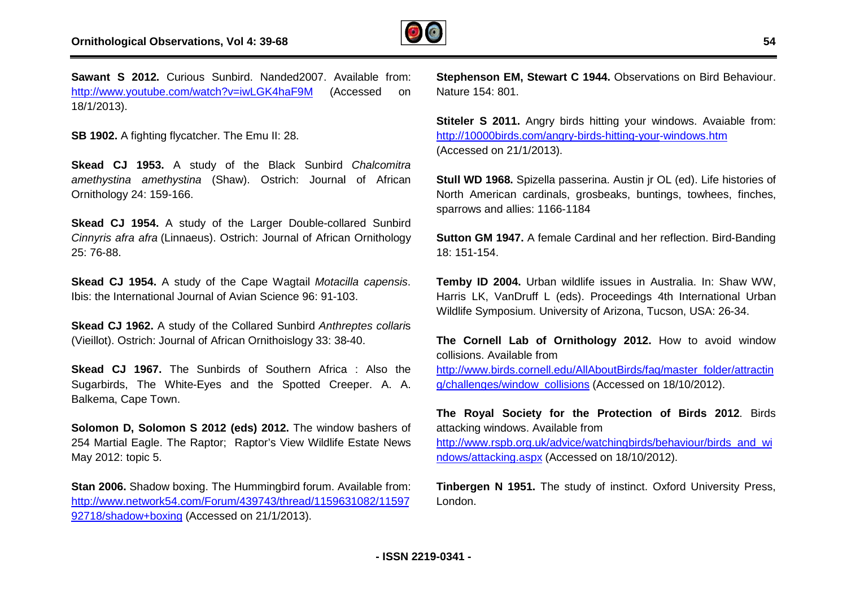

**Sawant S 2012.** Curious Sunbird. Nanded2007. Available from: <http://www.youtube.com/watch?v=iwLGK4haF9M> (Accessed on 18/1/2013).

**SB 1902.** A fighting flycatcher. The Emu II: 28.

**Skead CJ 1953.** A study of the Black Sunbird *Chalcomitra amethystina amethystina* (Shaw). Ostrich: Journal of African Ornithology 24: 159-166.

Skead CJ 1954. A study of the Larger Double-collared Sunbird *Cinnyris afra afra* (Linnaeus). Ostrich: Journal of African Ornithology 25: 76-88.

**Skead CJ 1954.** A study of the Cape Wagtail *Motacilla capensis*. Ibis: the International Journal of Avian Science 96: 91-103. Ibis: the International Journal of Avian Science 96: 91-103.<br>**Skead CJ 1962.** A study of the Collared Sunbird *Anthreptes collari*s

(Vieillot). Ostrich: Journal of African Ornithoislogy 33: 38 38-40.

**Skead CJ 1967.** The Sunbirds of Southern Africa : Also the Sugarbirds, The White-Eyes and the Spotted Creeper. A. A. Balkema, Cape Town.

**Solomon D, Solomon S 2012 (eds) 2012.** The window bashers of 254 Martial Eagle. The Raptor; Raptor's View Wildlife Estate News May 2012: topic 5.

**Stan 2006.** Shadow boxing. The Hummingbird forum. Available from: <http://www.network54.com/Forum/439743/thread/1159631082/11597> 92718/shadow+boxing (Accessed on 21/1/2013).

Nature 154: 801.

**Stiteler S 2011.** Angry birds hitting your windows. Avaiable from: [http://10000birds.com/angry-birds-hitting-your-](http://10000birds.com/angry-birds-hitting-your)windows.htm (Accessed on 21/1/2013).

Its Sunbird. Nanded2007. Available from:<br>
Stephenson **EM, Stewart C 1944.** Observations on Bird Behaviour.<br>
Street The Emu II: 28.<br>
Intellect Sunding Mature 154: 8011. Angry birds hitting your windows. Avaiable from:<br>
Inte **Stull WD 1968.** Spizella passerina. Austin jr OL (ed). Life histories of North American cardinals, grosbeaks, buntings, towhees, finches, sparrows and allies: 1166-1184 windows.htm<br>PL (ed). Life histories of<br>ngs, towhees, finches,<br>reflection. Bird-Banding

**Sutton GM 1947.** A female Cardinal and her reflection. Bird 18: 151-154.

**Temby ID 2004.** Urban wildlife issues in Australia. In: Shaw WW, Harris LK, VanDruff L (eds). Proceedings 4th International Urban Wildlife Symposium. University of Arizona, Tucson, USA: 26 26-34.

**The Cornell Lab of Ornithology 2012.** How to avoid window collisions. Available from

[http://www.birds.cornell.edu/AllAboutBirds/faq/master\\_folder/attractin](http://www.birds.cornell.edu/AllAboutBirds/faq/master_folder/attractin) g/challenges/window\_collisions (Accessed on 18/10/2012).

**The Royal Society for the Protection of Birds 2012** . Birds attacking windows. Available from

[http://www.rspb.org.uk/advice/watchingbirds/behaviour/birds\\_and\\_wi](http://www.rspb.org.uk/advice/watchingbirds/behaviour/birds_and_wi) ndows/attacking.aspx (Accessed on 18/10/2012).

**Tinbergen N 1951.** The study of instinct. Oxford University Press, London.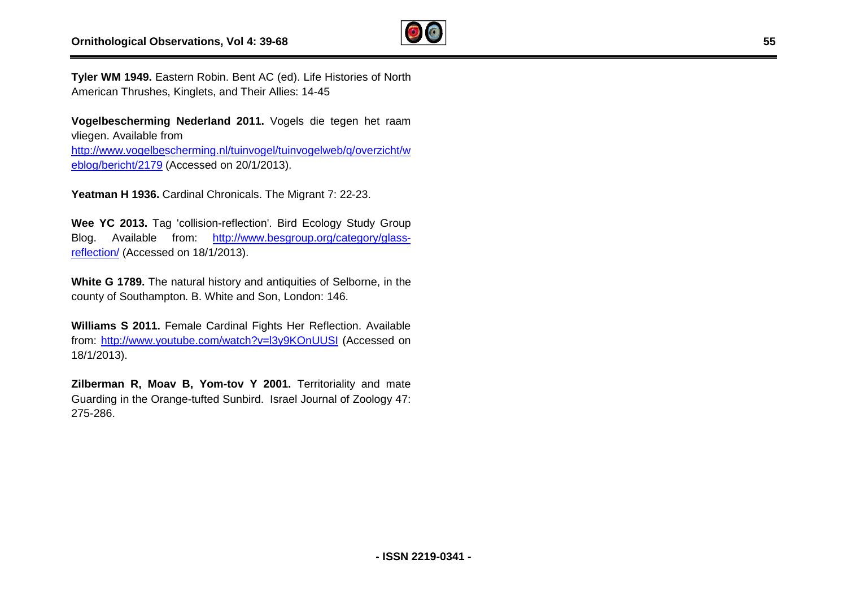

**Tyler WM 1949.** Eastern Robin. Bent AC (ed). Life Histories of North American Thrushes, Kinglets, and Their Allies: 14-45

**Vogelbescherming Nederland 2011.** Vogels die tegen h het raam vliegen. Available from <u>[http://www.vogelbes](http://www.vogelbe)cherming.nl/tuinvogel/tuinvogelweb/q/overzicht/w</u><br><u>eblog/bericht/2179</u> (Accessed on 20/1/2013).<br>**Yeatman H 1936.** Cardinal Chronicals. The Migrant 7: 22-23. eblog/bericht/2179 (Accessed on 20/1/2013).

**Yeatman H 1936.** Cardinal Chronicals. The Migrant 7: 22

**Wee YC 2013.** Tag 'collision-reflection'. Bird Ecology Study Group **Wee YC 2013.** Tag 'collision-reflection'. Bird Ecology Study Group<br>Blog. Available from: <u>http://www.besgroup.org/category/glass</u>reflection/ (Accessed on 18/1/2013).

**White G 1789.** The natural history and antiquities of Selborne, in the county of Southampton. B. White and Son, London: 146.

county of Southampton. B. White and Son, London: 146.<br>**Williams S 2011.** Female Cardinal Fights Her Reflection. Available from: <http://www.youtube.com/watch?v=l3y9KOnUUSI> (Accessed on 18/1/2013).

**Zilberman R, Moav B, Yom-tov Y 2001.** Territoriality and mate Guarding in the Orange-tufted Sunbird. Israel Journal of Zoology 47: 275-286.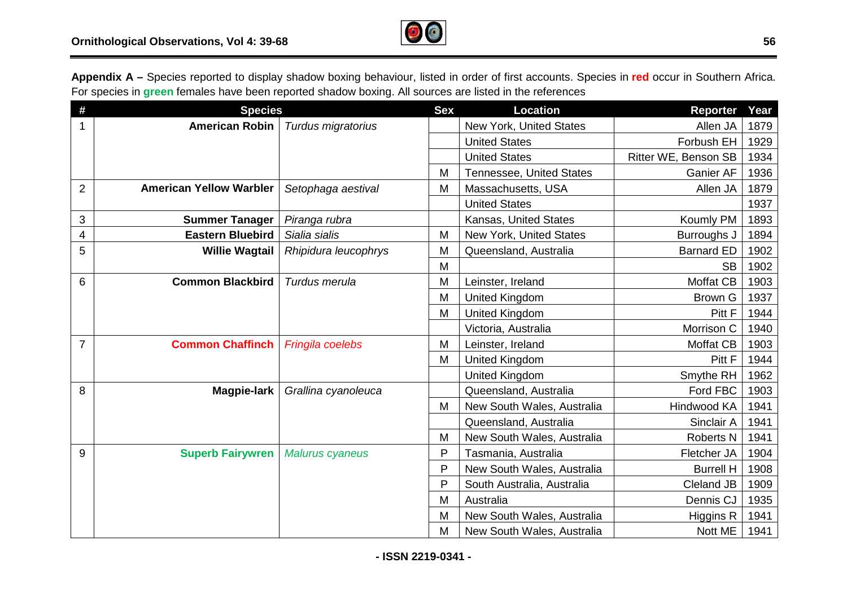

**Appendix A –** Species reported to display shadow boxing behaviour, listed in order of first accounts. Species in **red** occur in Southern Africa. For species in **green** females have been reported shadow boxing. All sources are listed in the references

| #              | <b>Species</b>                 |                        | <b>Sex</b> | <b>Location</b>                 | Reporter             | Year |
|----------------|--------------------------------|------------------------|------------|---------------------------------|----------------------|------|
| 1              | <b>American Robin</b>          | Turdus migratorius     |            | New York, United States         | Allen JA             | 1879 |
|                |                                |                        |            | <b>United States</b>            | Forbush EH           | 1929 |
|                |                                |                        |            | <b>United States</b>            | Ritter WE, Benson SB | 1934 |
|                |                                |                        | M          | <b>Tennessee, United States</b> | <b>Ganier AF</b>     | 1936 |
| $\overline{2}$ | <b>American Yellow Warbler</b> | Setophaga aestival     | M          | Massachusetts, USA              | Allen JA             | 1879 |
|                |                                |                        |            | <b>United States</b>            |                      | 1937 |
| 3              | <b>Summer Tanager</b>          | Piranga rubra          |            | Kansas, United States           | Koumly PM            | 1893 |
| 4              | <b>Eastern Bluebird</b>        | Sialia sialis          | M          | New York, United States         | Burroughs J          | 1894 |
| 5              | <b>Willie Wagtail</b>          | Rhipidura leucophrys   | M          | Queensland, Australia           | <b>Barnard ED</b>    | 1902 |
|                |                                |                        | M          |                                 | <b>SB</b>            | 1902 |
| 6              | <b>Common Blackbird</b>        | Turdus merula          | M          | Leinster, Ireland               | Moffat CB            | 1903 |
|                |                                |                        | M          | <b>United Kingdom</b>           | <b>Brown G</b>       | 1937 |
|                |                                |                        | M          | <b>United Kingdom</b>           | Pitt F               | 1944 |
|                |                                |                        |            | Victoria, Australia             | Morrison C           | 1940 |
| $\overline{7}$ | <b>Common Chaffinch</b>        | Fringila coelebs       | M          | Leinster, Ireland               | <b>Moffat CB</b>     | 1903 |
|                |                                |                        | M          | United Kingdom                  | Pitt F               | 1944 |
|                |                                |                        |            | United Kingdom                  | Smythe RH            | 1962 |
| 8              | Magpie-lark                    | Grallina cyanoleuca    |            | Queensland, Australia           | Ford FBC             | 1903 |
|                |                                |                        | M          | New South Wales, Australia      | Hindwood KA          | 1941 |
|                |                                |                        |            | Queensland, Australia           | Sinclair A           | 1941 |
|                |                                |                        | M          | New South Wales, Australia      | <b>Roberts N</b>     | 1941 |
| 9              | <b>Superb Fairywren</b>        | <b>Malurus cyaneus</b> | P          | Tasmania, Australia             | Fletcher JA          | 1904 |
|                |                                |                        | P          | New South Wales, Australia      | <b>Burrell H</b>     | 1908 |
|                |                                |                        | P          | South Australia, Australia      | Cleland JB           | 1909 |
|                |                                |                        | M          | Australia                       | Dennis CJ            | 1935 |
|                |                                |                        | M          | New South Wales, Australia      | Higgins R            | 1941 |
|                |                                |                        | M          | New South Wales, Australia      | Nott ME              | 1941 |

**- ISSN 2219-0341 -**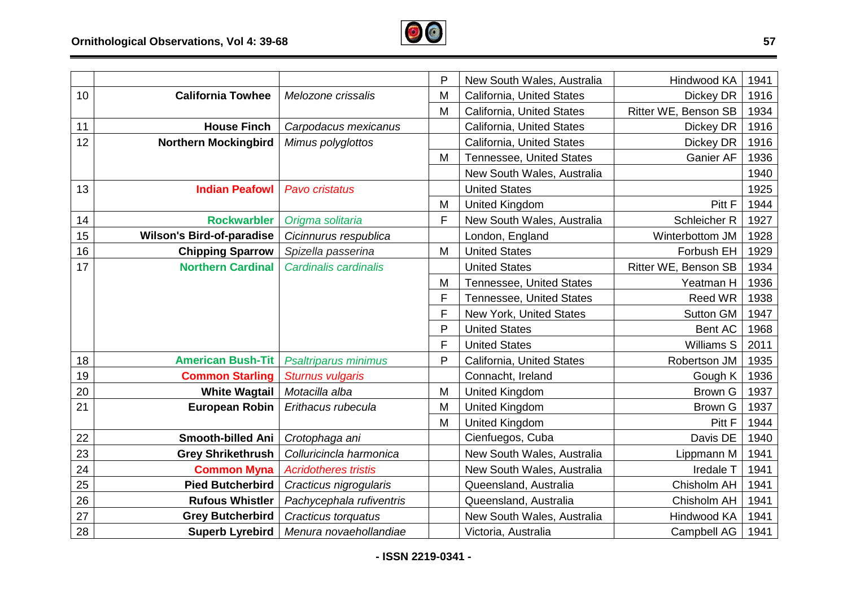

|    |                                  |                             | $\mathsf{P}$ | New South Wales, Australia      | Hindwood KA          | 1941 |
|----|----------------------------------|-----------------------------|--------------|---------------------------------|----------------------|------|
| 10 | <b>California Towhee</b>         | Melozone crissalis          | M            | California, United States       | Dickey DR            | 1916 |
|    |                                  |                             | M            | California, United States       | Ritter WE, Benson SB | 1934 |
| 11 | <b>House Finch</b>               | Carpodacus mexicanus        |              | California, United States       | Dickey DR            | 1916 |
| 12 | <b>Northern Mockingbird</b>      | Mimus polyglottos           |              | California, United States       | Dickey DR            | 1916 |
|    |                                  |                             | M            | <b>Tennessee, United States</b> | <b>Ganier AF</b>     | 1936 |
|    |                                  |                             |              | New South Wales, Australia      |                      | 1940 |
| 13 | <b>Indian Peafowl</b>            | Pavo cristatus              |              | <b>United States</b>            |                      | 1925 |
|    |                                  |                             | M            | <b>United Kingdom</b>           | Pitt F               | 1944 |
| 14 | <b>Rockwarbler</b>               | Origma solitaria            | F            | New South Wales, Australia      | Schleicher R         | 1927 |
| 15 | <b>Wilson's Bird-of-paradise</b> | Cicinnurus respublica       |              | London, England                 | Winterbottom JM      | 1928 |
| 16 | <b>Chipping Sparrow</b>          | Spizella passerina          | M            | <b>United States</b>            | Forbush EH           | 1929 |
| 17 | <b>Northern Cardinal</b>         | Cardinalis cardinalis       |              | <b>United States</b>            | Ritter WE, Benson SB | 1934 |
|    |                                  |                             | M            | <b>Tennessee, United States</b> | Yeatman H            | 1936 |
|    |                                  |                             | F            | Tennessee, United States        | Reed WR              | 1938 |
|    |                                  |                             | F            | New York, United States         | <b>Sutton GM</b>     | 1947 |
|    |                                  |                             | $\mathsf{P}$ | <b>United States</b>            | Bent AC              | 1968 |
|    |                                  |                             | F            | <b>United States</b>            | <b>Williams S</b>    | 2011 |
| 18 | <b>American Bush-Tit</b>         | <b>Psaltriparus minimus</b> | P            | California, United States       | Robertson JM         | 1935 |
| 19 | <b>Common Starling</b>           | <b>Sturnus vulgaris</b>     |              | Connacht, Ireland               | Gough K              | 1936 |
| 20 | <b>White Wagtail</b>             | Motacilla alba              | M            | United Kingdom                  | <b>Brown G</b>       | 1937 |
| 21 | <b>European Robin</b>            | Erithacus rubecula          | M            | <b>United Kingdom</b>           | <b>Brown G</b>       | 1937 |
|    |                                  |                             | M            | <b>United Kingdom</b>           | Pitt F               | 1944 |
| 22 | <b>Smooth-billed Ani</b>         | Crotophaga ani              |              | Cienfuegos, Cuba                | Davis DE             | 1940 |
| 23 | <b>Grey Shrikethrush</b>         | Colluricincla harmonica     |              | New South Wales, Australia      | Lippmann M           | 1941 |
| 24 | <b>Common Myna</b>               | <b>Acridotheres tristis</b> |              | New South Wales, Australia      | Iredale T            | 1941 |
| 25 | <b>Pied Butcherbird</b>          | Cracticus nigrogularis      |              | Queensland, Australia           | Chisholm AH          | 1941 |
| 26 | <b>Rufous Whistler</b>           | Pachycephala rufiventris    |              | Queensland, Australia           | Chisholm AH          | 1941 |
| 27 | <b>Grey Butcherbird</b>          | Cracticus torquatus         |              | New South Wales, Australia      | Hindwood KA          | 1941 |
| 28 | <b>Superb Lyrebird</b>           | Menura novaehollandiae      |              | Victoria, Australia             | Campbell AG          | 1941 |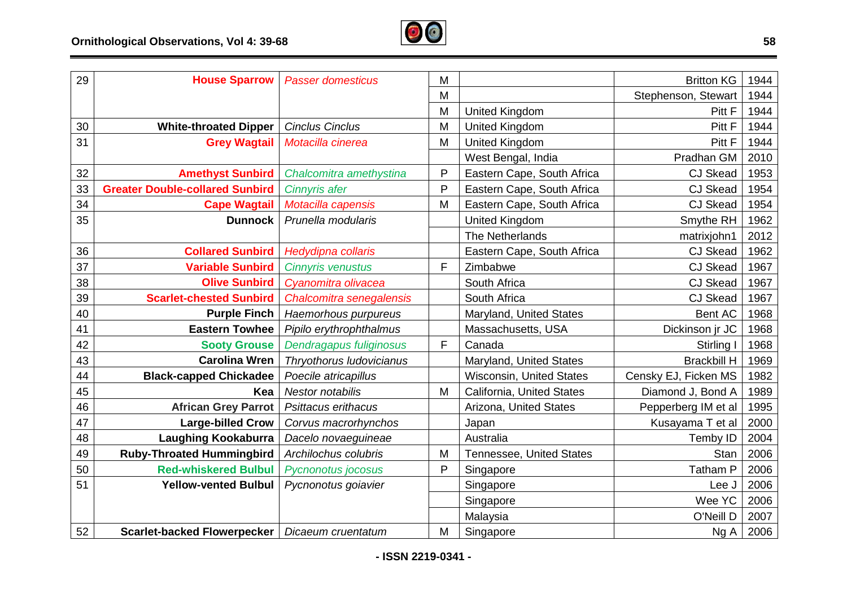

| 29 | <b>House Sparrow</b>                   | <b>Passer domesticus</b>  | M |                                 | <b>Britton KG</b>    | 1944 |
|----|----------------------------------------|---------------------------|---|---------------------------------|----------------------|------|
|    |                                        |                           | M |                                 | Stephenson, Stewart  | 1944 |
|    |                                        |                           | M | <b>United Kingdom</b>           | Pitt F               | 1944 |
| 30 | <b>White-throated Dipper</b>           | <b>Cinclus Cinclus</b>    | M | <b>United Kingdom</b>           | Pitt F               | 1944 |
| 31 | <b>Grey Wagtail</b>                    | Motacilla cinerea         | M | <b>United Kingdom</b>           | Pitt F               | 1944 |
|    |                                        |                           |   | West Bengal, India              | Pradhan GM           | 2010 |
| 32 | <b>Amethyst Sunbird</b>                | Chalcomitra amethystina   | P | Eastern Cape, South Africa      | <b>CJ Skead</b>      | 1953 |
| 33 | <b>Greater Double-collared Sunbird</b> | <b>Cinnyris afer</b>      | P | Eastern Cape, South Africa      | <b>CJ Skead</b>      | 1954 |
| 34 | <b>Cape Wagtail</b>                    | Motacilla capensis        | M | Eastern Cape, South Africa      | <b>CJ Skead</b>      | 1954 |
| 35 | <b>Dunnock</b>                         | Prunella modularis        |   | <b>United Kingdom</b>           | Smythe RH            | 1962 |
|    |                                        |                           |   | The Netherlands                 | matrixjohn1          | 2012 |
| 36 | <b>Collared Sunbird</b>                | <b>Hedydipna collaris</b> |   | Eastern Cape, South Africa      | <b>CJ Skead</b>      | 1962 |
| 37 | <b>Variable Sunbird</b>                | <b>Cinnyris venustus</b>  | F | Zimbabwe                        | <b>CJ Skead</b>      | 1967 |
| 38 | <b>Olive Sunbird</b>                   | Cyanomitra olivacea       |   | South Africa                    | <b>CJ Skead</b>      | 1967 |
| 39 | <b>Scarlet-chested Sunbird</b>         | Chalcomitra senegalensis  |   | South Africa                    | <b>CJ Skead</b>      | 1967 |
| 40 | <b>Purple Finch</b>                    | Haemorhous purpureus      |   | Maryland, United States         | Bent AC              | 1968 |
| 41 | <b>Eastern Towhee</b>                  | Pipilo erythrophthalmus   |   | Massachusetts, USA              | Dickinson jr JC      | 1968 |
| 42 | <b>Sooty Grouse</b>                    | Dendragapus fuliginosus   | F | Canada                          | Stirling I           | 1968 |
| 43 | <b>Carolina Wren</b>                   | Thryothorus Iudovicianus  |   | Maryland, United States         | <b>Brackbill H</b>   | 1969 |
| 44 | <b>Black-capped Chickadee</b>          | Poecile atricapillus      |   | Wisconsin, United States        | Censky EJ, Ficken MS | 1982 |
| 45 | Kea                                    | <b>Nestor notabilis</b>   | M | California, United States       | Diamond J, Bond A    | 1989 |
| 46 | <b>African Grey Parrot</b>             | Psittacus erithacus       |   | Arizona, United States          | Pepperberg IM et al  | 1995 |
| 47 | <b>Large-billed Crow</b>               | Corvus macrorhynchos      |   | Japan                           | Kusayama T et al     | 2000 |
| 48 | <b>Laughing Kookaburra</b>             | Dacelo novaeguineae       |   | Australia                       | Temby ID             | 2004 |
| 49 | <b>Ruby-Throated Hummingbird</b>       | Archilochus colubris      | M | <b>Tennessee, United States</b> | <b>Stan</b>          | 2006 |
| 50 | <b>Red-whiskered Bulbul</b>            | Pycnonotus jocosus        | P | Singapore                       | <b>Tatham P</b>      | 2006 |
| 51 | <b>Yellow-vented Bulbul</b>            | Pycnonotus goiavier       |   | Singapore                       | Lee J                | 2006 |
|    |                                        |                           |   | Singapore                       | Wee YC               | 2006 |
|    |                                        |                           |   | Malaysia                        | O'Neill D            | 2007 |
| 52 | <b>Scarlet-backed Flowerpecker</b>     | Dicaeum cruentatum        | M | Singapore                       | Ng A                 | 2006 |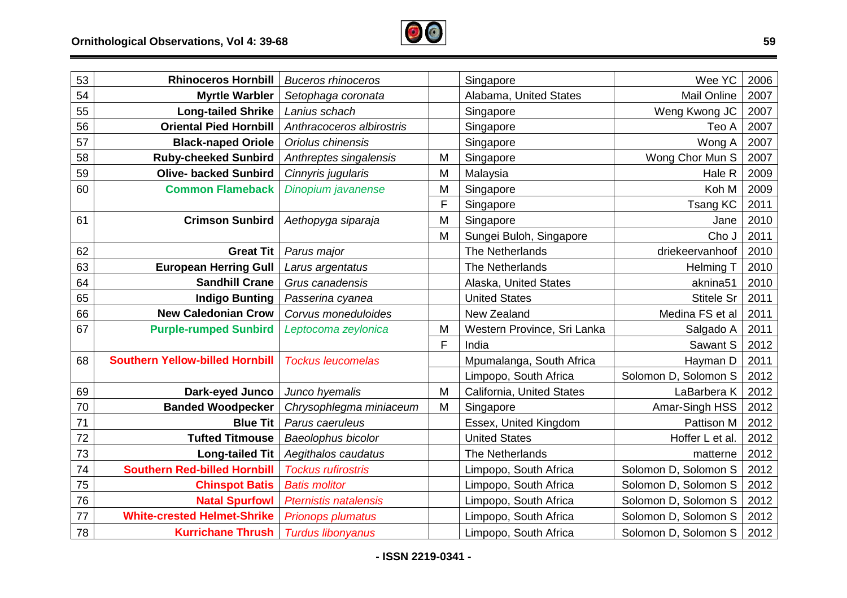

| 53 | <b>Rhinoceros Hornbill</b>             | <b>Buceros rhinoceros</b>    |   | Singapore                   | Wee YC               | 2006 |
|----|----------------------------------------|------------------------------|---|-----------------------------|----------------------|------|
| 54 | <b>Myrtle Warbler</b>                  | Setophaga coronata           |   | Alabama, United States      | Mail Online          | 2007 |
| 55 | <b>Long-tailed Shrike</b>              | Lanius schach                |   | Singapore                   | Weng Kwong JC        | 2007 |
| 56 | <b>Oriental Pied Hornbill</b>          | Anthracoceros albirostris    |   | Singapore                   | Teo A                | 2007 |
| 57 | <b>Black-naped Oriole</b>              | Oriolus chinensis            |   | Singapore                   | Wong A               | 2007 |
| 58 | <b>Ruby-cheeked Sunbird</b>            | Anthreptes singalensis       | M | Singapore                   | Wong Chor Mun S      | 2007 |
| 59 | <b>Olive- backed Sunbird</b>           | Cinnyris jugularis           | M | Malaysia                    | Hale R               | 2009 |
| 60 | <b>Common Flameback</b>                | Dinopium javanense           | M | Singapore                   | Koh M                | 2009 |
|    |                                        |                              | F | Singapore                   | Tsang KC             | 2011 |
| 61 | <b>Crimson Sunbird</b>                 | Aethopyga siparaja           | M | Singapore                   | Jane                 | 2010 |
|    |                                        |                              | M | Sungei Buloh, Singapore     | Cho J                | 2011 |
| 62 | <b>Great Tit</b>                       | Parus major                  |   | The Netherlands             | driekeervanhoof      | 2010 |
| 63 | <b>European Herring Gull</b>           | Larus argentatus             |   | The Netherlands             | <b>Helming T</b>     | 2010 |
| 64 | <b>Sandhill Crane</b>                  | Grus canadensis              |   | Alaska, United States       | aknina51             | 2010 |
| 65 | <b>Indigo Bunting</b>                  | Passerina cyanea             |   | <b>United States</b>        | <b>Stitele Sr</b>    | 2011 |
| 66 | <b>New Caledonian Crow</b>             | Corvus moneduloides          |   | New Zealand                 | Medina FS et al      | 2011 |
| 67 | <b>Purple-rumped Sunbird</b>           | Leptocoma zeylonica          | M | Western Province, Sri Lanka | Salgado A            | 2011 |
|    |                                        |                              | F | India                       | Sawant S             | 2012 |
| 68 | <b>Southern Yellow-billed Hornbill</b> | <b>Tockus leucomelas</b>     |   | Mpumalanga, South Africa    | Hayman D             | 2011 |
|    |                                        |                              |   | Limpopo, South Africa       | Solomon D, Solomon S | 2012 |
| 69 | Dark-eyed Junco                        | Junco hyemalis               | M | California, United States   | LaBarbera K          | 2012 |
| 70 | <b>Banded Woodpecker</b>               | Chrysophlegma miniaceum      | M | Singapore                   | Amar-Singh HSS       | 2012 |
| 71 | <b>Blue Tit</b>                        | Parus caeruleus              |   | Essex, United Kingdom       | Pattison M           | 2012 |
| 72 | <b>Tufted Titmouse</b>                 | Baeolophus bicolor           |   | <b>United States</b>        | Hoffer L et al.      | 2012 |
| 73 | <b>Long-tailed Tit</b>                 | Aegithalos caudatus          |   | The Netherlands             | matterne             | 2012 |
| 74 | <b>Southern Red-billed Hornbill</b>    | <b>Tockus rufirostris</b>    |   | Limpopo, South Africa       | Solomon D, Solomon S | 2012 |
| 75 | <b>Chinspot Batis</b>                  | <b>Batis molitor</b>         |   | Limpopo, South Africa       | Solomon D, Solomon S | 2012 |
| 76 | <b>Natal Spurfowl</b>                  | <b>Pternistis natalensis</b> |   | Limpopo, South Africa       | Solomon D, Solomon S | 2012 |
| 77 | <b>White-crested Helmet-Shrike</b>     | <b>Prionops plumatus</b>     |   | Limpopo, South Africa       | Solomon D, Solomon S | 2012 |
| 78 | <b>Kurrichane Thrush</b>               | <b>Turdus libonyanus</b>     |   | Limpopo, South Africa       | Solomon D, Solomon S | 2012 |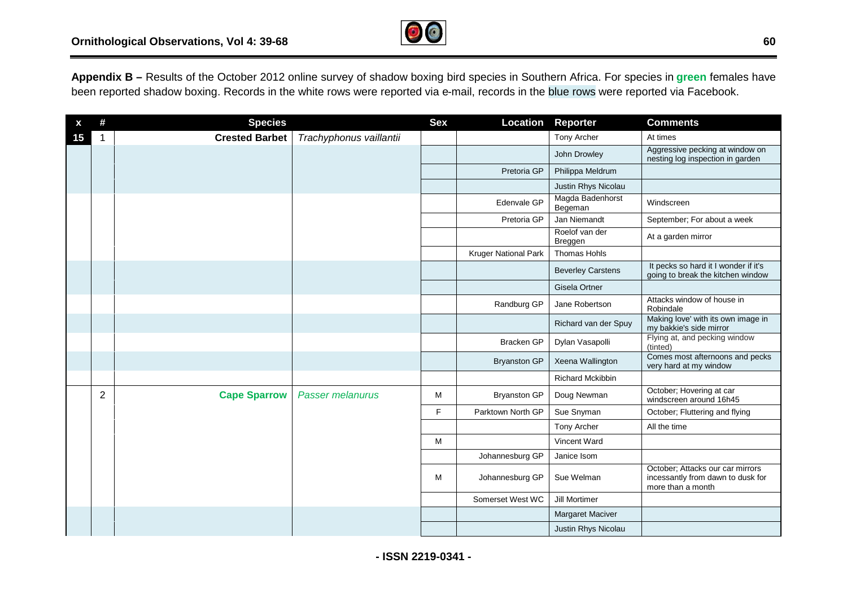

**Appendix B –** Results of the October 2012 online survey of shadow boxing bird species in Southern Africa. For species in **green** females have been reported shadow boxing. Records in the white rows were reported via e-mail, records in the blue rows were reported via Facebook.

|    | #              | <b>Species</b>        |                         | <b>Sex</b> | Location             | Reporter                    | <b>Comments</b>                                                                            |
|----|----------------|-----------------------|-------------------------|------------|----------------------|-----------------------------|--------------------------------------------------------------------------------------------|
| 15 |                | <b>Crested Barbet</b> | Trachyphonus vaillantii |            |                      | Tony Archer                 | At times                                                                                   |
|    |                |                       |                         |            |                      | John Drowley                | Aggressive pecking at window on<br>nesting log inspection in garden                        |
|    |                |                       |                         |            | Pretoria GP          | Philippa Meldrum            |                                                                                            |
|    |                |                       |                         |            |                      | Justin Rhys Nicolau         |                                                                                            |
|    |                |                       |                         |            | Edenvale GP          | Magda Badenhorst<br>Begeman | Windscreen                                                                                 |
|    |                |                       |                         |            | Pretoria GP          | Jan Niemandt                | September; For about a week                                                                |
|    |                |                       |                         |            |                      | Roelof van der<br>Breggen   | At a garden mirror                                                                         |
|    |                |                       |                         |            | Kruger National Park | Thomas Hohls                |                                                                                            |
|    |                |                       |                         |            |                      | <b>Beverley Carstens</b>    | It pecks so hard it I wonder if it's<br>going to break the kitchen window                  |
|    |                |                       |                         |            |                      | Gisela Ortner               |                                                                                            |
|    |                |                       |                         |            | Randburg GP          | Jane Robertson              | Attacks window of house in<br>Robindale                                                    |
|    |                |                       |                         |            |                      | Richard van der Spuy        | Making love' with its own image in<br>my bakkie's side mirror                              |
|    |                |                       |                         |            | <b>Bracken GP</b>    | Dylan Vasapolli             | Flying at, and pecking window<br>(tinted)                                                  |
|    |                |                       |                         |            | <b>Bryanston GP</b>  | Xeena Wallington            | Comes most afternoons and pecks<br>very hard at my window                                  |
|    |                |                       |                         |            |                      | Richard Mckibbin            |                                                                                            |
|    | $\overline{2}$ | <b>Cape Sparrow</b>   | <b>Passer melanurus</b> | м          | <b>Bryanston GP</b>  | Doug Newman                 | October; Hovering at car<br>windscreen around 16h45                                        |
|    |                |                       |                         | F.         | Parktown North GP    | Sue Snyman                  | October; Fluttering and flying                                                             |
|    |                |                       |                         |            |                      | Tony Archer                 | All the time                                                                               |
|    |                |                       |                         | M          |                      | Vincent Ward                |                                                                                            |
|    |                |                       |                         |            | Johannesburg GP      | Janice Isom                 |                                                                                            |
|    |                |                       |                         | M          | Johannesburg GP      | Sue Welman                  | October; Attacks our car mirrors<br>incessantly from dawn to dusk for<br>more than a month |
|    |                |                       |                         |            | Somerset West WC     | Jill Mortimer               |                                                                                            |
|    |                |                       |                         |            |                      | <b>Margaret Maciver</b>     |                                                                                            |
|    |                |                       |                         |            |                      | Justin Rhys Nicolau         |                                                                                            |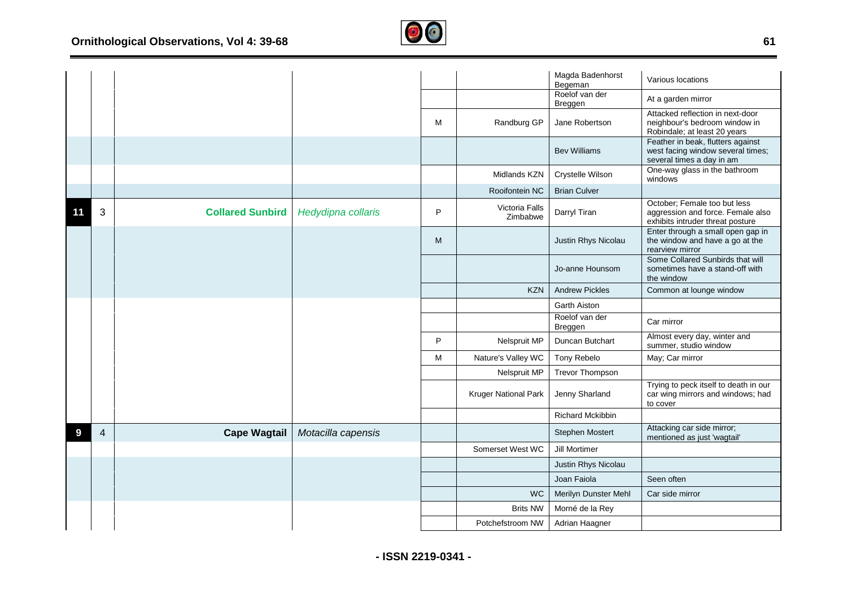

|    |   |                         |                    |   |                            | Magda Badenhorst<br>Begeman | Various locations                                                                                     |
|----|---|-------------------------|--------------------|---|----------------------------|-----------------------------|-------------------------------------------------------------------------------------------------------|
|    |   |                         |                    |   |                            | Roelof van der<br>Breggen   | At a garden mirror                                                                                    |
|    |   |                         |                    | M | Randburg GP                | Jane Robertson              | Attacked reflection in next-door<br>neighbour's bedroom window in<br>Robindale; at least 20 years     |
|    |   |                         |                    |   |                            | <b>Bev Williams</b>         | Feather in beak, flutters against<br>west facing window several times;<br>several times a day in am   |
|    |   |                         |                    |   | Midlands KZN               | Crystelle Wilson            | One-way glass in the bathroom<br>windows                                                              |
|    |   |                         |                    |   | Rooifontein NC             | <b>Brian Culver</b>         |                                                                                                       |
| 11 | 3 | <b>Collared Sunbird</b> | Hedydipna collaris | P | Victoria Falls<br>Zimbabwe | Darryl Tiran                | October; Female too but less<br>aggression and force. Female also<br>exhibits intruder threat posture |
|    |   |                         |                    | M |                            | Justin Rhys Nicolau         | Enter through a small open gap in<br>the window and have a go at the<br>rearview mirror               |
|    |   |                         |                    |   |                            | Jo-anne Hounsom             | Some Collared Sunbirds that will<br>sometimes have a stand-off with<br>the window                     |
|    |   |                         |                    |   | <b>KZN</b>                 | <b>Andrew Pickles</b>       | Common at lounge window                                                                               |
|    |   |                         |                    |   |                            | Garth Aiston                |                                                                                                       |
|    |   |                         |                    |   |                            | Roelof van der<br>Breggen   | Car mirror                                                                                            |
|    |   |                         |                    | P | Nelspruit MP               | Duncan Butchart             | Almost every day, winter and<br>summer, studio window                                                 |
|    |   |                         |                    | M | Nature's Valley WC         | Tony Rebelo                 | May; Car mirror                                                                                       |
|    |   |                         |                    |   | Nelspruit MP               | <b>Trevor Thompson</b>      |                                                                                                       |
|    |   |                         |                    |   | Kruger National Park       | Jenny Sharland              | Trying to peck itself to death in our<br>car wing mirrors and windows; had<br>to cover                |
|    |   |                         |                    |   |                            | <b>Richard Mckibbin</b>     |                                                                                                       |
| 9  | 4 | <b>Cape Wagtail</b>     | Motacilla capensis |   |                            | Stephen Mostert             | Attacking car side mirror;<br>mentioned as just 'wagtail'                                             |
|    |   |                         |                    |   | Somerset West WC           | Jill Mortimer               |                                                                                                       |
|    |   |                         |                    |   |                            | Justin Rhys Nicolau         |                                                                                                       |
|    |   |                         |                    |   |                            | Joan Faiola                 | Seen often                                                                                            |
|    |   |                         |                    |   | <b>WC</b>                  | Merilyn Dunster Mehl        | Car side mirror                                                                                       |
|    |   |                         |                    |   | <b>Brits NW</b>            | Morné de la Rey             |                                                                                                       |
|    |   |                         |                    |   | Potchefstroom NW           | Adrian Haagner              |                                                                                                       |

**- ISSN 2219-0341 -**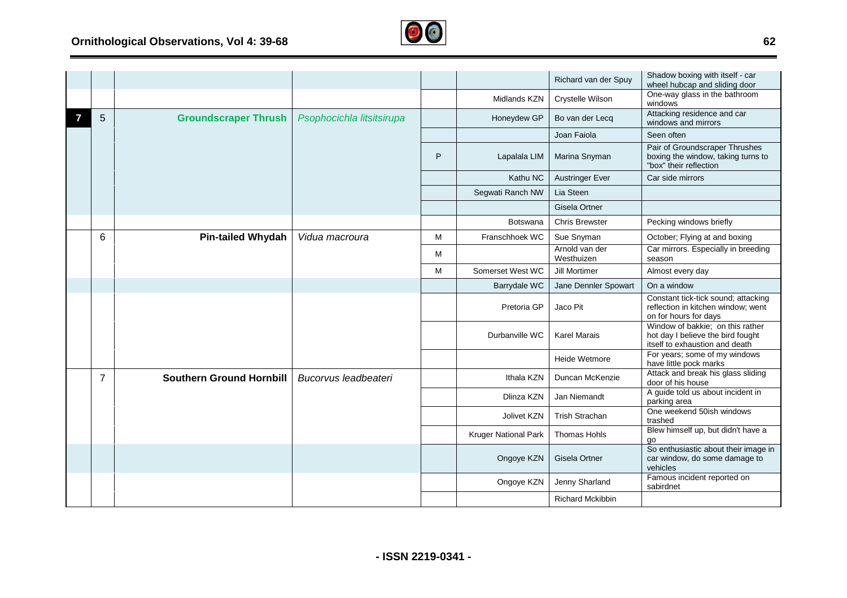

|                |                                 |                           |   |                             | Richard van der Spuy         | Shadow boxing with itself - car<br>wheel hubcap and sliding door                                        |
|----------------|---------------------------------|---------------------------|---|-----------------------------|------------------------------|---------------------------------------------------------------------------------------------------------|
|                |                                 |                           |   | Midlands KZN                | Crystelle Wilson             | One-way glass in the bathroom<br>windows                                                                |
| 5              | <b>Groundscraper Thrush</b>     | Psophocichla litsitsirupa |   | Honeydew GP                 | Bo van der Lecq              | Attacking residence and car<br>windows and mirrors                                                      |
|                |                                 |                           |   |                             | Joan Faiola                  | Seen often                                                                                              |
|                |                                 |                           | P | Lapalala LIM                | Marina Snyman                | Pair of Groundscraper Thrushes<br>boxing the window, taking turns to<br>"box" their reflection          |
|                |                                 |                           |   | Kathu NC                    | <b>Austringer Ever</b>       | Car side mirrors                                                                                        |
|                |                                 |                           |   | Segwati Ranch NW            | Lia Steen                    |                                                                                                         |
|                |                                 |                           |   |                             | Gisela Ortner                |                                                                                                         |
|                |                                 |                           |   | <b>Botswana</b>             | <b>Chris Brewster</b>        | Pecking windows briefly                                                                                 |
| 6              | <b>Pin-tailed Whydah</b>        | Vidua macroura            | м | Franschhoek WC              | Sue Snyman                   | October; Flying at and boxing                                                                           |
|                |                                 |                           | м |                             | Arnold van der<br>Westhuizen | Car mirrors. Especially in breeding<br>season                                                           |
|                |                                 |                           | M | Somerset West WC            | Jill Mortimer                | Almost every day                                                                                        |
|                |                                 |                           |   | Barrydale WC                | Jane Dennler Spowart         | On a window                                                                                             |
|                |                                 |                           |   | Pretoria GP                 | Jaco Pit                     | Constant tick-tick sound; attacking<br>reflection in kitchen window; went<br>on for hours for days      |
|                |                                 |                           |   | Durbanville WC              | <b>Karel Marais</b>          | Window of bakkie; on this rather<br>hot day I believe the bird fought<br>itself to exhaustion and death |
|                |                                 |                           |   |                             | Heide Wetmore                | For years; some of my windows<br>have little pock marks                                                 |
| $\overline{7}$ | <b>Southern Ground Hornbill</b> | Bucorvus leadbeateri      |   | Ithala KZN                  | Duncan McKenzie              | Attack and break his glass sliding<br>door of his house                                                 |
|                |                                 |                           |   | Dlinza KZN                  | Jan Niemandt                 | A guide told us about incident in<br>parking area                                                       |
|                |                                 |                           |   | <b>Jolivet KZN</b>          | <b>Trish Strachan</b>        | One weekend 50ish windows<br>trashed                                                                    |
|                |                                 |                           |   | <b>Kruger National Park</b> | Thomas Hohls                 | Blew himself up, but didn't have a<br>go                                                                |
|                |                                 |                           |   | Ongoye KZN                  | Gisela Ortner                | So enthusiastic about their image in<br>car window, do some damage to<br>vehicles                       |
|                |                                 |                           |   | Ongoye KZN                  | Jenny Sharland               | Famous incident reported on<br>sabirdnet                                                                |
|                |                                 |                           |   |                             | <b>Richard Mckibbin</b>      |                                                                                                         |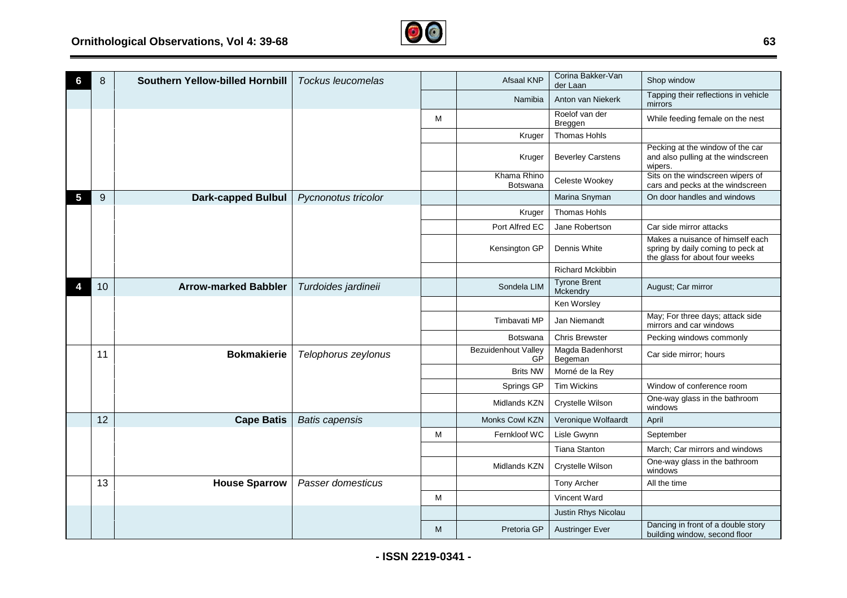

|   | 8  | Southern Yellow-billed Hornbill | <b>Tockus leucomelas</b> |   | Afsaal KNP                       | Corina Bakker-Van<br>der Laan   | Shop window                                                                                             |
|---|----|---------------------------------|--------------------------|---|----------------------------------|---------------------------------|---------------------------------------------------------------------------------------------------------|
|   |    |                                 |                          |   | Namibia                          | Anton van Niekerk               | Tapping their reflections in vehicle<br>mirrors                                                         |
|   |    |                                 |                          | M |                                  | Roelof van der<br>Breggen       | While feeding female on the nest                                                                        |
|   |    |                                 |                          |   | Kruger                           | <b>Thomas Hohls</b>             |                                                                                                         |
|   |    |                                 |                          |   | Kruger                           | <b>Beverley Carstens</b>        | Pecking at the window of the car<br>and also pulling at the windscreen<br>wipers.                       |
|   |    |                                 |                          |   | Khama Rhino<br>Botswana          | Celeste Wookey                  | Sits on the windscreen wipers of<br>cars and pecks at the windscreen                                    |
| 5 | 9  | <b>Dark-capped Bulbul</b>       | Pycnonotus tricolor      |   |                                  | Marina Snyman                   | On door handles and windows                                                                             |
|   |    |                                 |                          |   | Kruger                           | <b>Thomas Hohls</b>             |                                                                                                         |
|   |    |                                 |                          |   | Port Alfred EC                   | Jane Robertson                  | Car side mirror attacks                                                                                 |
|   |    |                                 |                          |   | Kensington GP                    | Dennis White                    | Makes a nuisance of himself each<br>spring by daily coming to peck at<br>the glass for about four weeks |
|   |    |                                 |                          |   |                                  | <b>Richard Mckibbin</b>         |                                                                                                         |
|   | 10 | <b>Arrow-marked Babbler</b>     | Turdoides jardineii      |   | Sondela LIM                      | <b>Tyrone Brent</b><br>Mckendry | August; Car mirror                                                                                      |
|   |    |                                 |                          |   |                                  | Ken Worsley                     |                                                                                                         |
|   |    |                                 |                          |   | Timbavati MP                     | Jan Niemandt                    | May; For three days; attack side<br>mirrors and car windows                                             |
|   |    |                                 |                          |   | Botswana                         | <b>Chris Brewster</b>           | Pecking windows commonly                                                                                |
|   | 11 | <b>Bokmakierie</b>              | Telophorus zeylonus      |   | <b>Bezuidenhout Valley</b><br>GP | Magda Badenhorst<br>Begeman     | Car side mirror; hours                                                                                  |
|   |    |                                 |                          |   | <b>Brits NW</b>                  | Morné de la Rey                 |                                                                                                         |
|   |    |                                 |                          |   | Springs GP                       | <b>Tim Wickins</b>              | Window of conference room                                                                               |
|   |    |                                 |                          |   | Midlands KZN                     | Crystelle Wilson                | One-way glass in the bathroom<br>windows                                                                |
|   | 12 | <b>Cape Batis</b>               | <b>Batis capensis</b>    |   | Monks Cowl KZN                   | Veronique Wolfaardt             | April                                                                                                   |
|   |    |                                 |                          | M | Fernkloof WC                     | Lisle Gwynn                     | September                                                                                               |
|   |    |                                 |                          |   |                                  | <b>Tiana Stanton</b>            | March; Car mirrors and windows                                                                          |
|   |    |                                 |                          |   | Midlands KZN                     | Crystelle Wilson                | One-way glass in the bathroom<br>windows                                                                |
|   | 13 | <b>House Sparrow</b>            | Passer domesticus        |   |                                  | Tony Archer                     | All the time                                                                                            |
|   |    |                                 |                          | М |                                  | Vincent Ward                    |                                                                                                         |
|   |    |                                 |                          |   |                                  | Justin Rhys Nicolau             |                                                                                                         |
|   |    |                                 |                          | M | Pretoria GP                      | <b>Austringer Ever</b>          | Dancing in front of a double story<br>building window, second floor                                     |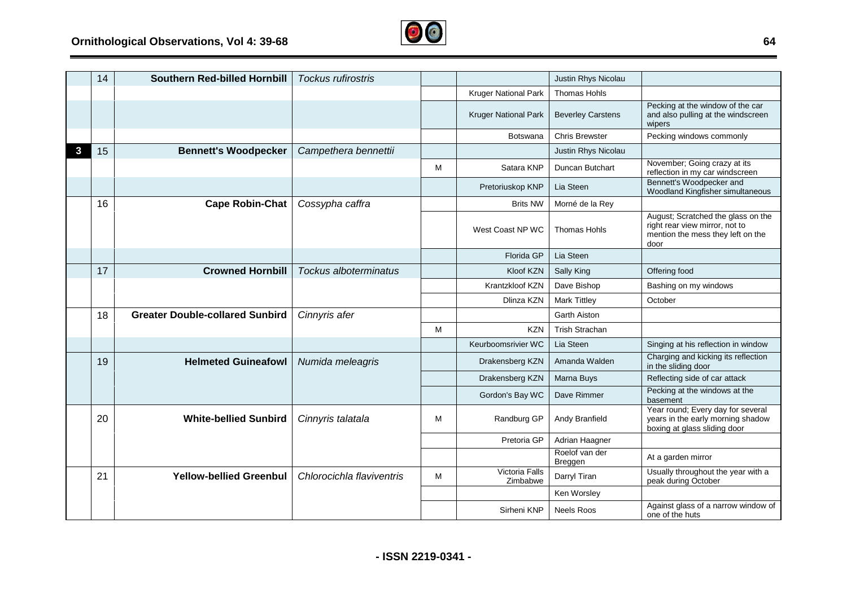

|   | 14 | <b>Southern Red-billed Hornbill</b>    | Tockus rufirostris           |   |                             | Justin Rhys Nicolau       |                                                                                                                   |
|---|----|----------------------------------------|------------------------------|---|-----------------------------|---------------------------|-------------------------------------------------------------------------------------------------------------------|
|   |    |                                        |                              |   | Kruger National Park        | <b>Thomas Hohls</b>       |                                                                                                                   |
|   |    |                                        |                              |   | <b>Kruger National Park</b> | <b>Beverley Carstens</b>  | Pecking at the window of the car<br>and also pulling at the windscreen<br>wipers                                  |
|   |    |                                        |                              |   | <b>Botswana</b>             | <b>Chris Brewster</b>     | Pecking windows commonly                                                                                          |
| 3 | 15 | <b>Bennett's Woodpecker</b>            | Campethera bennettii         |   |                             | Justin Rhys Nicolau       |                                                                                                                   |
|   |    |                                        |                              | M | Satara KNP                  | Duncan Butchart           | November; Going crazy at its<br>reflection in my car windscreen                                                   |
|   |    |                                        |                              |   | Pretoriuskop KNP            | Lia Steen                 | Bennett's Woodpecker and<br>Woodland Kingfisher simultaneous                                                      |
|   | 16 | <b>Cape Robin-Chat</b>                 | Cossypha caffra              |   | <b>Brits NW</b>             | Morné de la Rey           |                                                                                                                   |
|   |    |                                        |                              |   | West Coast NP WC            | <b>Thomas Hohls</b>       | August; Scratched the glass on the<br>right rear view mirror, not to<br>mention the mess they left on the<br>door |
|   |    |                                        |                              |   | Florida GP                  | Lia Steen                 |                                                                                                                   |
|   | 17 | <b>Crowned Hornbill</b>                | <b>Tockus alboterminatus</b> |   | Kloof KZN                   | Sally King                | Offering food                                                                                                     |
|   |    |                                        |                              |   | Krantzkloof KZN             | Dave Bishop               | Bashing on my windows                                                                                             |
|   |    |                                        |                              |   | Dlinza KZN                  | <b>Mark Tittley</b>       | October                                                                                                           |
|   | 18 | <b>Greater Double-collared Sunbird</b> | Cinnyris afer                |   |                             | <b>Garth Aiston</b>       |                                                                                                                   |
|   |    |                                        |                              | M | <b>KZN</b>                  | <b>Trish Strachan</b>     |                                                                                                                   |
|   |    |                                        |                              |   | Keurboomsrivier WC          | Lia Steen                 | Singing at his reflection in window                                                                               |
|   | 19 | <b>Helmeted Guineafowl</b>             | Numida meleagris             |   | Drakensberg KZN             | Amanda Walden             | Charging and kicking its reflection<br>in the sliding door                                                        |
|   |    |                                        |                              |   | Drakensberg KZN             | Marna Buys                | Reflecting side of car attack                                                                                     |
|   |    |                                        |                              |   | Gordon's Bay WC             | Dave Rimmer               | Pecking at the windows at the<br>basement                                                                         |
|   | 20 | <b>White-bellied Sunbird</b>           | Cinnyris talatala            | М | Randburg GP                 | Andy Branfield            | Year round; Every day for several<br>years in the early morning shadow<br>boxing at glass sliding door            |
|   |    |                                        |                              |   | Pretoria GP                 | Adrian Haagner            |                                                                                                                   |
|   |    |                                        |                              |   |                             | Roelof van der<br>Breggen | At a garden mirror                                                                                                |
|   | 21 | <b>Yellow-bellied Greenbul</b>         | Chlorocichla flaviventris    | M | Victoria Falls<br>Zimbabwe  | Darryl Tiran              | Usually throughout the year with a<br>peak during October                                                         |
|   |    |                                        |                              |   |                             | Ken Worsley               |                                                                                                                   |
|   |    |                                        |                              |   | Sirheni KNP                 | <b>Neels Roos</b>         | Against glass of a narrow window of<br>one of the huts                                                            |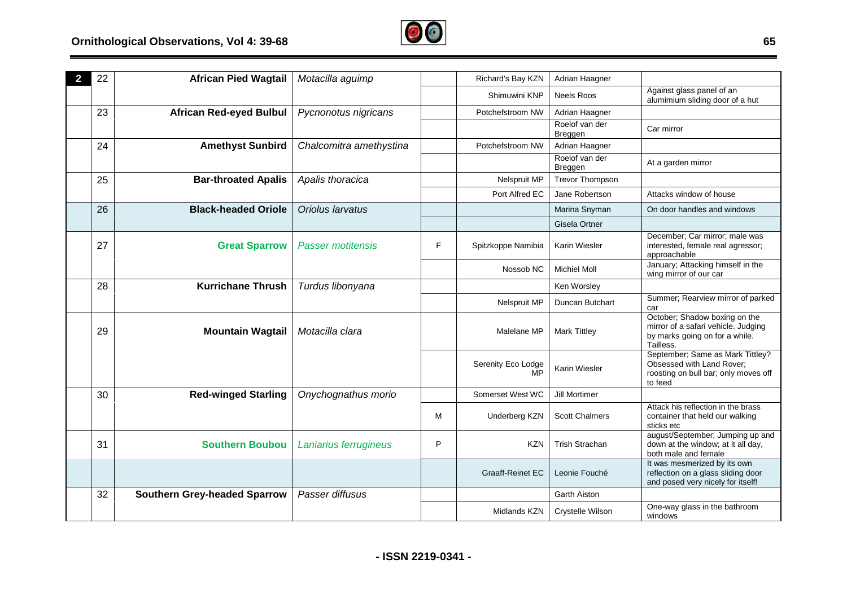

| 22 | <b>African Pied Wagtail</b>         | Motacilla aguimp         |   | Richard's Bay KZN        | Adrian Haagner            |                                                                                                                     |
|----|-------------------------------------|--------------------------|---|--------------------------|---------------------------|---------------------------------------------------------------------------------------------------------------------|
|    |                                     |                          |   | Shimuwini KNP            | Neels Roos                | Against glass panel of an<br>alumimium sliding door of a hut                                                        |
| 23 | <b>African Red-eyed Bulbul</b>      | Pycnonotus nigricans     |   | Potchefstroom NW         | Adrian Haagner            |                                                                                                                     |
|    |                                     |                          |   |                          | Roelof van der<br>Breggen | Car mirror                                                                                                          |
| 24 | <b>Amethyst Sunbird</b>             | Chalcomitra amethystina  |   | Potchefstroom NW         | Adrian Haagner            |                                                                                                                     |
|    |                                     |                          |   |                          | Roelof van der<br>Breggen | At a garden mirror                                                                                                  |
| 25 | <b>Bar-throated Apalis</b>          | Apalis thoracica         |   | Nelspruit MP             | <b>Trevor Thompson</b>    |                                                                                                                     |
|    |                                     |                          |   | Port Alfred EC           | Jane Robertson            | Attacks window of house                                                                                             |
| 26 | <b>Black-headed Oriole</b>          | Oriolus larvatus         |   |                          | Marina Snyman             | On door handles and windows                                                                                         |
|    |                                     |                          |   |                          | Gisela Ortner             |                                                                                                                     |
| 27 | <b>Great Sparrow</b>                | <b>Passer motitensis</b> | F | Spitzkoppe Namibia       | Karin Wiesler             | December; Car mirror; male was<br>interested, female real agressor;<br>approachable                                 |
|    |                                     |                          |   | Nossob NC                | <b>Michiel Moll</b>       | January; Attacking himself in the<br>wing mirror of our car                                                         |
| 28 | <b>Kurrichane Thrush</b>            | Turdus libonyana         |   |                          | Ken Worsley               |                                                                                                                     |
|    |                                     |                          |   | Nelspruit MP             | Duncan Butchart           | Summer; Rearview mirror of parked<br>car                                                                            |
| 29 | <b>Mountain Wagtail</b>             | Motacilla clara          |   | Malelane MP              | <b>Mark Tittley</b>       | October; Shadow boxing on the<br>mirror of a safari vehicle. Judging<br>by marks going on for a while.<br>Tailless. |
|    |                                     |                          |   | Serenity Eco Lodge<br>MP | Karin Wiesler             | September; Same as Mark Tittley?<br>Obsessed with Land Rover;<br>roosting on bull bar; only moves off<br>to feed    |
| 30 | <b>Red-winged Starling</b>          | Onychognathus morio      |   | Somerset West WC         | Jill Mortimer             |                                                                                                                     |
|    |                                     |                          | м | Underberg KZN            | <b>Scott Chalmers</b>     | Attack his reflection in the brass<br>container that held our walking<br>sticks etc                                 |
| 31 | <b>Southern Boubou</b>              | Laniarius ferrugineus    | P | <b>KZN</b>               | <b>Trish Strachan</b>     | august/September; Jumping up and<br>down at the window; at it all day,<br>both male and female                      |
|    |                                     |                          |   | <b>Graaff-Reinet EC</b>  | Leonie Fouché             | It was mesmerized by its own<br>reflection on a glass sliding door<br>and posed very nicely for itself!             |
| 32 | <b>Southern Grey-headed Sparrow</b> | Passer diffusus          |   |                          | Garth Aiston              |                                                                                                                     |
|    |                                     |                          |   | Midlands KZN             | Crystelle Wilson          | One-way glass in the bathroom<br>windows                                                                            |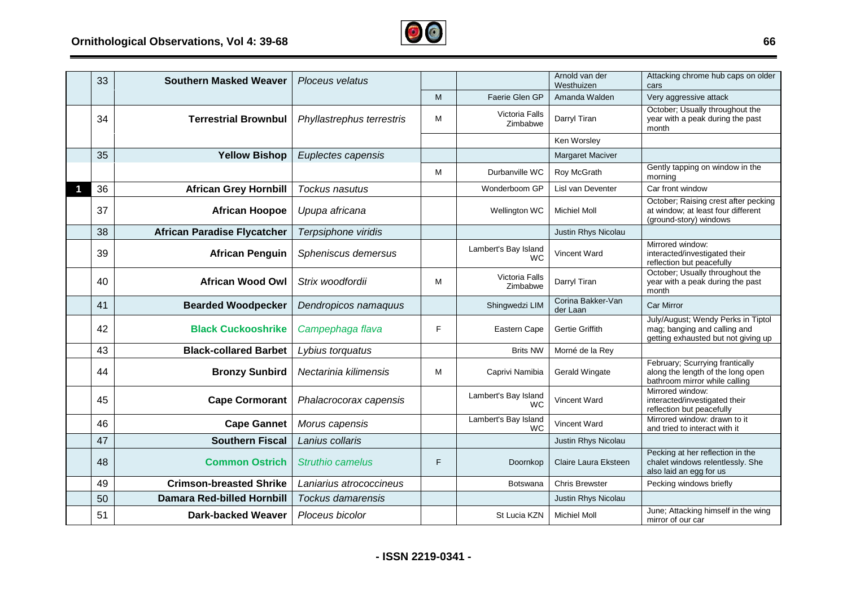

| 33 | <b>Southern Masked Weaver</b>      | Ploceus velatus           |   |                                   | Arnold van der<br>Westhuizen  | Attacking chrome hub caps on older<br>cars                                                                |
|----|------------------------------------|---------------------------|---|-----------------------------------|-------------------------------|-----------------------------------------------------------------------------------------------------------|
|    |                                    |                           | M | Faerie Glen GP                    | Amanda Walden                 | Very aggressive attack                                                                                    |
| 34 | <b>Terrestrial Brownbul</b>        | Phyllastrephus terrestris | M | Victoria Falls<br>Zimbabwe        | Darryl Tiran                  | October; Usually throughout the<br>year with a peak during the past<br>month                              |
|    |                                    |                           |   |                                   | Ken Worsley                   |                                                                                                           |
| 35 | <b>Yellow Bishop</b>               | Euplectes capensis        |   |                                   | <b>Margaret Maciver</b>       |                                                                                                           |
|    |                                    |                           | M | Durbanville WC                    | Roy McGrath                   | Gently tapping on window in the<br>morning                                                                |
| 36 | <b>African Grey Hornbill</b>       | Tockus nasutus            |   | Wonderboom GP                     | Lisl van Deventer             | Car front window                                                                                          |
| 37 | <b>African Hoopoe</b>              | Upupa africana            |   | Wellington WC                     | <b>Michiel Moll</b>           | October; Raising crest after pecking<br>at window; at least four different<br>(ground-story) windows      |
| 38 | <b>African Paradise Flycatcher</b> | Terpsiphone viridis       |   |                                   | Justin Rhys Nicolau           |                                                                                                           |
| 39 | <b>African Penguin</b>             | Spheniscus demersus       |   | Lambert's Bay Island<br><b>WC</b> | <b>Vincent Ward</b>           | Mirrored window:<br>interacted/investigated their<br>reflection but peacefully                            |
| 40 | <b>African Wood Owl</b>            | Strix woodfordii          | M | Victoria Falls<br>Zimbabwe        | Darryl Tiran                  | October; Usually throughout the<br>year with a peak during the past<br>month                              |
| 41 | <b>Bearded Woodpecker</b>          | Dendropicos namaquus      |   | Shingwedzi LIM                    | Corina Bakker-Van<br>der Laan | <b>Car Mirror</b>                                                                                         |
| 42 | <b>Black Cuckooshrike</b>          | Campephaga flava          | F | Eastern Cape                      | Gertie Griffith               | July/August; Wendy Perks in Tiptol<br>mag; banging and calling and<br>getting exhausted but not giving up |
| 43 | <b>Black-collared Barbet</b>       | Lybius torquatus          |   | <b>Brits NW</b>                   | Morné de la Rey               |                                                                                                           |
| 44 | <b>Bronzy Sunbird</b>              | Nectarinia kilimensis     | M | Caprivi Namibia                   | Gerald Wingate                | February; Scurrying frantically<br>along the length of the long open<br>bathroom mirror while calling     |
| 45 | <b>Cape Cormorant</b>              | Phalacrocorax capensis    |   | Lambert's Bay Island<br><b>WC</b> | <b>Vincent Ward</b>           | Mirrored window:<br>interacted/investigated their<br>reflection but peacefully                            |
| 46 | <b>Cape Gannet</b>                 | Morus capensis            |   | Lambert's Bay Island<br><b>WC</b> | Vincent Ward                  | Mirrored window: drawn to it<br>and tried to interact with it                                             |
| 47 | <b>Southern Fiscal</b>             | Lanius collaris           |   |                                   | Justin Rhys Nicolau           |                                                                                                           |
| 48 | <b>Common Ostrich</b>              | Struthio camelus          | F | Doornkop                          | Claire Laura Eksteen          | Pecking at her reflection in the<br>chalet windows relentlessly. She<br>also laid an egg for us           |
| 49 | <b>Crimson-breasted Shrike</b>     | Laniarius atrococcineus   |   | Botswana                          | <b>Chris Brewster</b>         | Pecking windows briefly                                                                                   |
| 50 | <b>Damara Red-billed Hornbill</b>  | <b>Tockus damarensis</b>  |   |                                   | Justin Rhys Nicolau           |                                                                                                           |
| 51 | <b>Dark-backed Weaver</b>          | Ploceus bicolor           |   | St Lucia KZN                      | <b>Michiel Moll</b>           | June; Attacking himself in the wing<br>mirror of our car                                                  |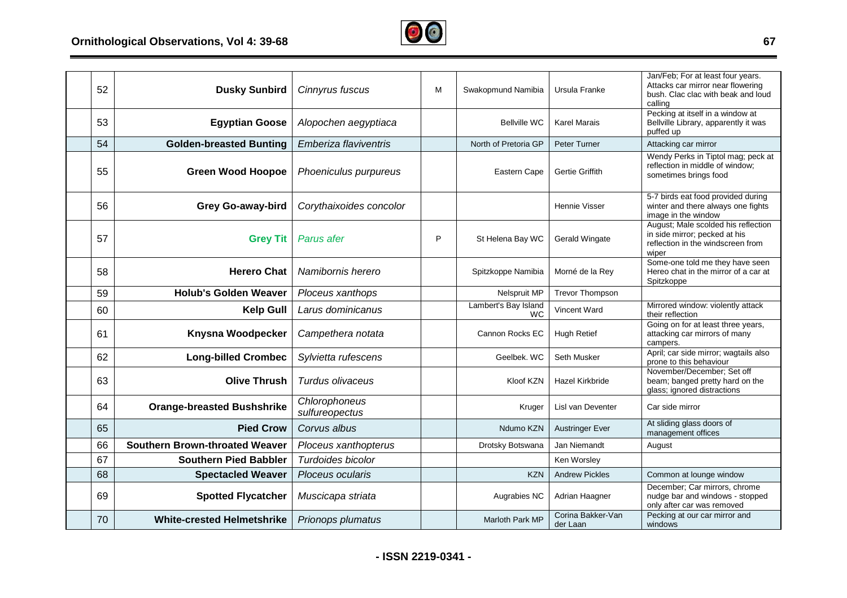## **Ornithological Observations, Vol 4: 39-68**



| 52 | <b>Dusky Sunbird</b>                  | Cinnyrus fuscus                 | M | Swakopmund Namibia                | Ursula Franke                 | Jan/Feb; For at least four years.<br>Attacks car mirror near flowering<br>bush. Clac clac with beak and loud<br>calling |
|----|---------------------------------------|---------------------------------|---|-----------------------------------|-------------------------------|-------------------------------------------------------------------------------------------------------------------------|
| 53 | <b>Egyptian Goose</b>                 | Alopochen aegyptiaca            |   | <b>Bellville WC</b>               | <b>Karel Marais</b>           | Pecking at itself in a window at<br>Bellville Library, apparently it was<br>puffed up                                   |
| 54 | <b>Golden-breasted Bunting</b>        | Emberiza flaviventris           |   | North of Pretoria GP              | Peter Turner                  | Attacking car mirror                                                                                                    |
| 55 | <b>Green Wood Hoopoe</b>              | Phoeniculus purpureus           |   | Eastern Cape                      | Gertie Griffith               | Wendy Perks in Tiptol mag; peck at<br>reflection in middle of window;<br>sometimes brings food                          |
| 56 | <b>Grey Go-away-bird</b>              | Corythaixoides concolor         |   |                                   | Hennie Visser                 | 5-7 birds eat food provided during<br>winter and there always one fights<br>image in the window                         |
| 57 | <b>Grey Tit</b>                       | Parus afer                      | P | St Helena Bay WC                  | <b>Gerald Wingate</b>         | August; Male scolded his reflection<br>in side mirror; pecked at his<br>reflection in the windscreen from<br>wiper      |
| 58 | <b>Herero Chat</b>                    | Namibornis herero               |   | Spitzkoppe Namibia                | Morné de la Rey               | Some-one told me they have seen<br>Hereo chat in the mirror of a car at<br>Spitzkoppe                                   |
| 59 | <b>Holub's Golden Weaver</b>          | Ploceus xanthops                |   | Nelspruit MP                      | <b>Trevor Thompson</b>        |                                                                                                                         |
| 60 | <b>Kelp Gull</b>                      | Larus dominicanus               |   | Lambert's Bay Island<br><b>WC</b> | Vincent Ward                  | Mirrored window: violently attack<br>their reflection                                                                   |
| 61 | Knysna Woodpecker                     | Campethera notata               |   | Cannon Rocks EC                   | <b>Hugh Retief</b>            | Going on for at least three years,<br>attacking car mirrors of many<br>campers.                                         |
| 62 | <b>Long-billed Crombec</b>            | Sylvietta rufescens             |   | Geelbek, WC                       | Seth Musker                   | April; car side mirror; wagtails also<br>prone to this behaviour                                                        |
| 63 | <b>Olive Thrush</b>                   | Turdus olivaceus                |   | Kloof KZN                         | Hazel Kirkbride               | November/December; Set off<br>beam; banged pretty hard on the<br>glass; ignored distractions                            |
| 64 | <b>Orange-breasted Bushshrike</b>     | Chlorophoneus<br>sulfureopectus |   | Kruger                            | Lisl van Deventer             | Car side mirror                                                                                                         |
| 65 | <b>Pied Crow</b>                      | Corvus albus                    |   | Ndumo KZN                         | <b>Austringer Ever</b>        | At sliding glass doors of<br>management offices                                                                         |
| 66 | <b>Southern Brown-throated Weaver</b> | Ploceus xanthopterus            |   | Drotsky Botswana                  | Jan Niemandt                  | August                                                                                                                  |
| 67 | <b>Southern Pied Babbler</b>          | Turdoides bicolor               |   |                                   | Ken Worsley                   |                                                                                                                         |
| 68 | <b>Spectacled Weaver</b>              | Ploceus ocularis                |   | <b>KZN</b>                        | <b>Andrew Pickles</b>         | Common at lounge window                                                                                                 |
| 69 | <b>Spotted Flycatcher</b>             | Muscicapa striata               |   | Augrabies NC                      | Adrian Haagner                | December; Car mirrors, chrome<br>nudge bar and windows - stopped<br>only after car was removed                          |
| 70 | <b>White-crested Helmetshrike</b>     | Prionops plumatus               |   | <b>Marloth Park MP</b>            | Corina Bakker-Van<br>der Laan | Pecking at our car mirror and<br>windows                                                                                |